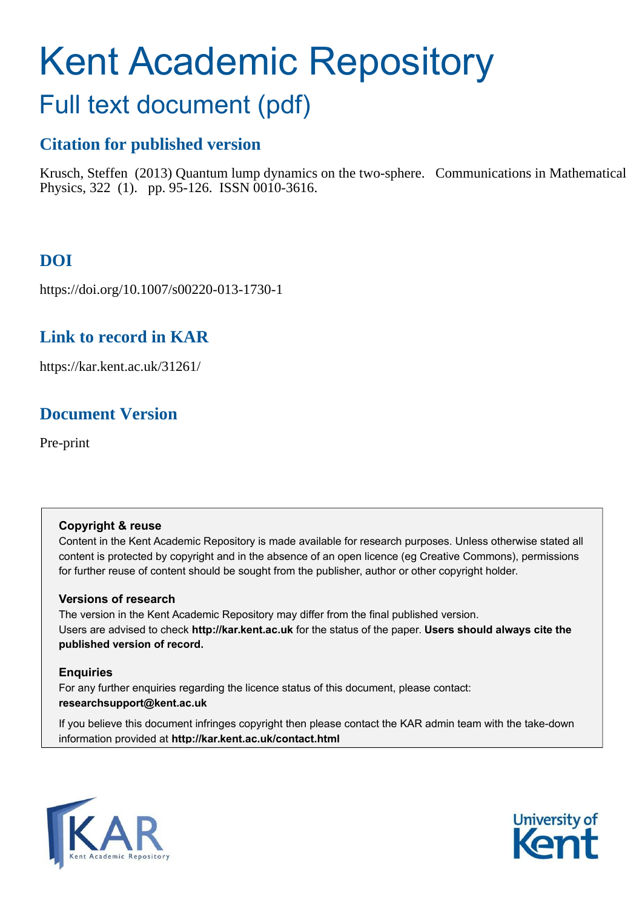# Kent Academic Repository

## Full text document (pdf)

## **Citation for published version**

Krusch, Steffen (2013) Quantum lump dynamics on the two-sphere. Communications in Mathematical Physics, 322 (1). pp. 95-126. ISSN 0010-3616.

## **DOI**

https://doi.org/10.1007/s00220-013-1730-1

## **Link to record in KAR**

https://kar.kent.ac.uk/31261/

## **Document Version**

Pre-print

#### **Copyright & reuse**

Content in the Kent Academic Repository is made available for research purposes. Unless otherwise stated all content is protected by copyright and in the absence of an open licence (eg Creative Commons), permissions for further reuse of content should be sought from the publisher, author or other copyright holder.

#### **Versions of research**

The version in the Kent Academic Repository may differ from the final published version. Users are advised to check **http://kar.kent.ac.uk** for the status of the paper. **Users should always cite the published version of record.**

#### **Enquiries**

For any further enquiries regarding the licence status of this document, please contact: **researchsupport@kent.ac.uk**

If you believe this document infringes copyright then please contact the KAR admin team with the take-down information provided at **http://kar.kent.ac.uk/contact.html**



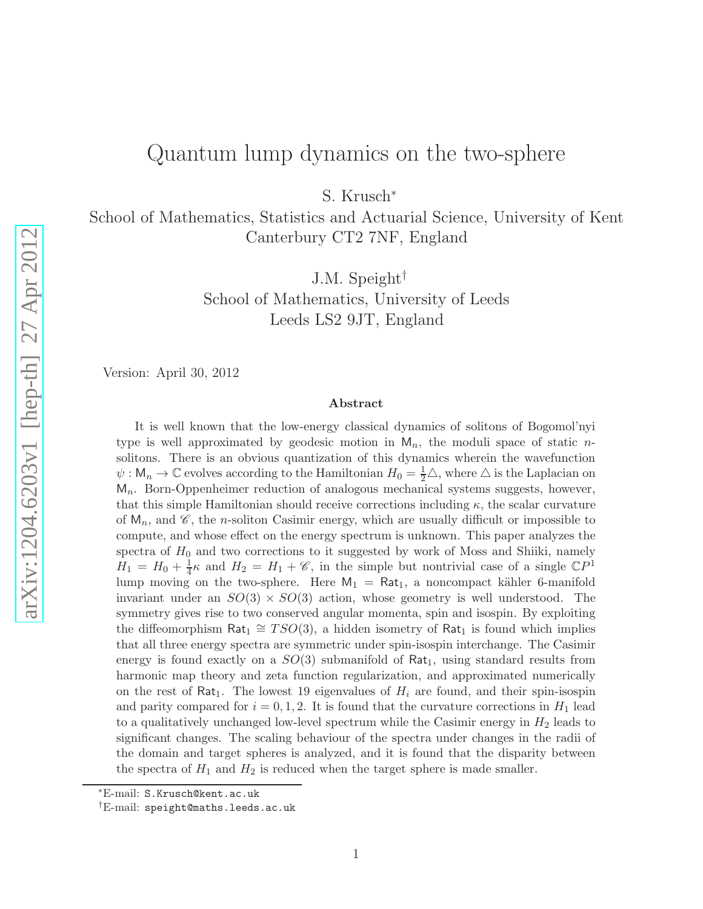## Quantum lump dynamics on the two-sphere

S. Krusch<sup>∗</sup>

School of Mathematics, Statistics and Actuarial Science, University of Kent Canterbury CT2 7NF, England

J.M. Speight†

School of Mathematics, University of Leeds Leeds LS2 9JT, England

Version: April 30, 2012

#### Abstract

It is well known that the low-energy classical dynamics of solitons of Bogomol'nyi type is well approximated by geodesic motion in  $M_n$ , the moduli space of static nsolitons. There is an obvious quantization of this dynamics wherein the wavefunction  $\psi: \mathsf{M}_n \to \mathbb{C}$  evolves according to the Hamiltonian  $H_0 = \frac{1}{2}\triangle$ , where  $\triangle$  is the Laplacian on  $M_n$ . Born-Oppenheimer reduction of analogous mechanical systems suggests, however, that this simple Hamiltonian should receive corrections including  $\kappa$ , the scalar curvature of  $M_n$ , and  $\mathscr{C}$ , the *n*-soliton Casimir energy, which are usually difficult or impossible to compute, and whose effect on the energy spectrum is unknown. This paper analyzes the spectra of  $H_0$  and two corrections to it suggested by work of Moss and Shiiki, namely  $H_1 = H_0 + \frac{1}{4}$  $\frac{1}{4}\kappa$  and  $H_2 = H_1 + \mathscr{C}$ , in the simple but nontrivial case of a single  $\mathbb{C}P^1$ lump moving on the two-sphere. Here  $M_1 = Rat_1$ , a noncompact kähler 6-manifold invariant under an  $SO(3) \times SO(3)$  action, whose geometry is well understood. The symmetry gives rise to two conserved angular momenta, spin and isospin. By exploiting the diffeomorphism  $\text{Rat}_1 \cong TSO(3)$ , a hidden isometry of  $\text{Rat}_1$  is found which implies that all three energy spectra are symmetric under spin-isospin interchange. The Casimir energy is found exactly on a  $SO(3)$  submanifold of Rat<sub>1</sub>, using standard results from harmonic map theory and zeta function regularization, and approximated numerically on the rest of Rat<sub>1</sub>. The lowest 19 eigenvalues of  $H_i$  are found, and their spin-isospin and parity compared for  $i = 0, 1, 2$ . It is found that the curvature corrections in  $H_1$  lead to a qualitatively unchanged low-level spectrum while the Casimir energy in  $H_2$  leads to significant changes. The scaling behaviour of the spectra under changes in the radii of the domain and target spheres is analyzed, and it is found that the disparity between the spectra of  $H_1$  and  $H_2$  is reduced when the target sphere is made smaller.

<sup>∗</sup>E-mail: S.Krusch@kent.ac.uk

<sup>†</sup>E-mail: speight@maths.leeds.ac.uk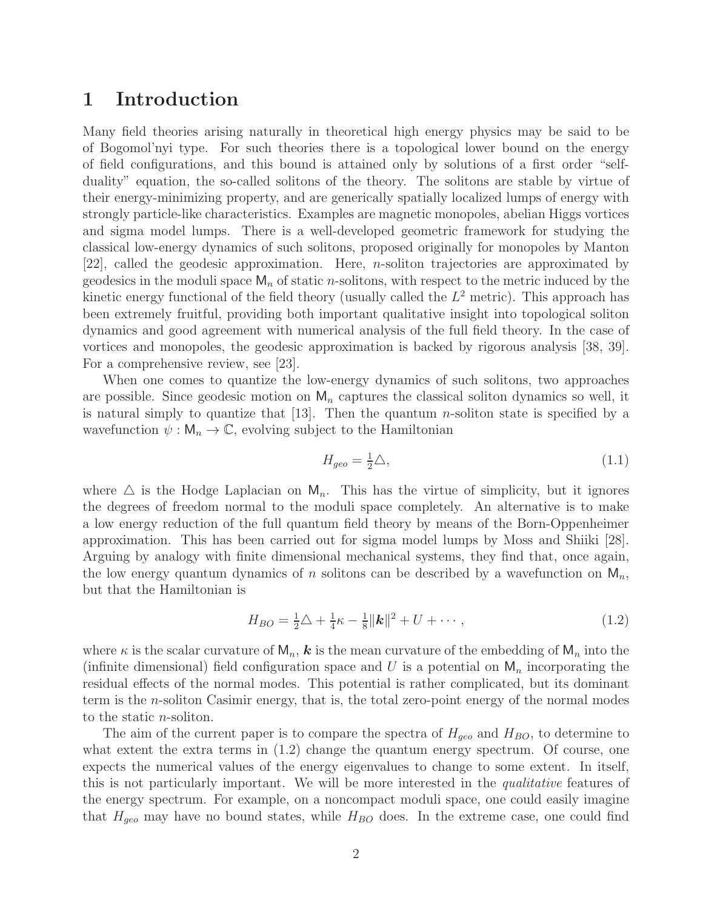## 1 Introduction

Many field theories arising naturally in theoretical high energy physics may be said to be of Bogomol'nyi type. For such theories there is a topological lower bound on the energy of field configurations, and this bound is attained only by solutions of a first order "selfduality" equation, the so-called solitons of the theory. The solitons are stable by virtue of their energy-minimizing property, and are generically spatially localized lumps of energy with strongly particle-like characteristics. Examples are magnetic monopoles, abelian Higgs vortices and sigma model lumps. There is a well-developed geometric framework for studying the classical low-energy dynamics of such solitons, proposed originally for monopoles by Manton [22], called the geodesic approximation. Here, n-soliton trajectories are approximated by geodesics in the moduli space  $\mathsf{M}_n$  of static *n*-solitons, with respect to the metric induced by the kinetic energy functional of the field theory (usually called the  $L^2$  metric). This approach has been extremely fruitful, providing both important qualitative insight into topological soliton dynamics and good agreement with numerical analysis of the full field theory. In the case of vortices and monopoles, the geodesic approximation is backed by rigorous analysis [38, 39]. For a comprehensive review, see [23].

When one comes to quantize the low-energy dynamics of such solitons, two approaches are possible. Since geodesic motion on  $M_n$  captures the classical soliton dynamics so well, it is natural simply to quantize that  $|13|$ . Then the quantum *n*-soliton state is specified by a wavefunction  $\psi : \mathsf{M}_n \to \mathbb{C}$ , evolving subject to the Hamiltonian

$$
H_{geo} = \frac{1}{2}\triangle,\tag{1.1}
$$

where  $\Delta$  is the Hodge Laplacian on  $M_n$ . This has the virtue of simplicity, but it ignores the degrees of freedom normal to the moduli space completely. An alternative is to make a low energy reduction of the full quantum field theory by means of the Born-Oppenheimer approximation. This has been carried out for sigma model lumps by Moss and Shiiki [28]. Arguing by analogy with finite dimensional mechanical systems, they find that, once again, the low energy quantum dynamics of n solitons can be described by a wavefunction on  $M_n$ , but that the Hamiltonian is

$$
H_{BO} = \frac{1}{2}\triangle + \frac{1}{4}\kappa - \frac{1}{8}||\mathbf{k}||^2 + U + \cdots, \qquad (1.2)
$$

where  $\kappa$  is the scalar curvature of  $M_n$ ,  $k$  is the mean curvature of the embedding of  $M_n$  into the (infinite dimensional) field configuration space and U is a potential on  $M_n$  incorporating the residual effects of the normal modes. This potential is rather complicated, but its dominant term is the n-soliton Casimir energy, that is, the total zero-point energy of the normal modes to the static n-soliton.

The aim of the current paper is to compare the spectra of  $H_{qee}$  and  $H_{BO}$ , to determine to what extent the extra terms in  $(1.2)$  change the quantum energy spectrum. Of course, one expects the numerical values of the energy eigenvalues to change to some extent. In itself, this is not particularly important. We will be more interested in the *qualitative* features of the energy spectrum. For example, on a noncompact moduli space, one could easily imagine that  $H_{geo}$  may have no bound states, while  $H_{BO}$  does. In the extreme case, one could find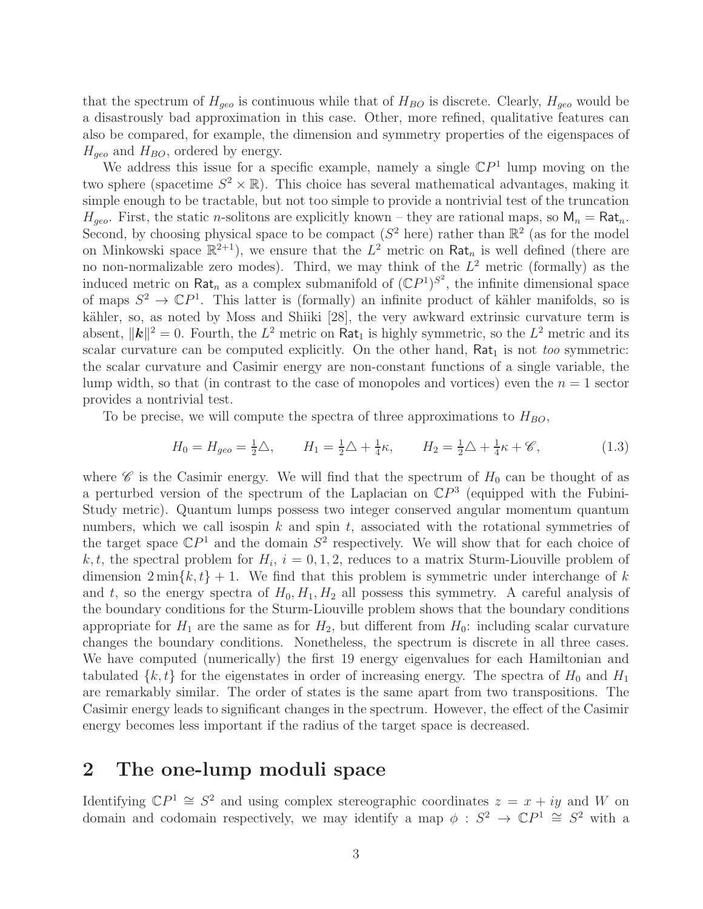that the spectrum of  $H_{q\acute{e}o}$  is continuous while that of  $H_{BO}$  is discrete. Clearly,  $H_{q\acute{e}o}$  would be a disastrously bad approximation in this case. Other, more refined, qualitative features can also be compared, for example, the dimension and symmetry properties of the eigenspaces of  $H_{\text{geo}}$  and  $H_{BO}$ , ordered by energy.

We address this issue for a specific example, namely a single  $\mathbb{C}P<sup>1</sup>$  lump moving on the two sphere (spacetime  $S^2 \times \mathbb{R}$ ). This choice has several mathematical advantages, making it simple enough to be tractable, but not too simple to provide a nontrivial test of the truncation  $H_{geo}$ . First, the static *n*-solitons are explicitly known – they are rational maps, so  $M_n = Rat_n$ . Second, by choosing physical space to be compact ( $S^2$  here) rather than  $\mathbb{R}^2$  (as for the model on Minkowski space  $\mathbb{R}^{2+1}$ , we ensure that the  $L^2$  metric on Rat<sub>n</sub> is well defined (there are no non-normalizable zero modes). Third, we may think of the  $L^2$  metric (formally) as the induced metric on Rat<sub>n</sub> as a complex submanifold of  $({\mathbb CP}^1)^{S^2}$ , the infinite dimensional space of maps  $S^2 \to \mathbb{C}P^1$ . This latter is (formally) an infinite product of kähler manifolds, so is kähler, so, as noted by Moss and Shiiki [28], the very awkward extrinsic curvature term is absent,  $\|\mathbf{k}\|^2 = 0$ . Fourth, the  $L^2$  metric on Rat<sub>1</sub> is highly symmetric, so the  $L^2$  metric and its scalar curvature can be computed explicitly. On the other hand,  $Rat_1$  is not *too* symmetric: the scalar curvature and Casimir energy are non-constant functions of a single variable, the lump width, so that (in contrast to the case of monopoles and vortices) even the  $n = 1$  sector provides a nontrivial test.

To be precise, we will compute the spectra of three approximations to  $H_{BO}$ ,

$$
H_0 = H_{geo} = \frac{1}{2}\triangle, \qquad H_1 = \frac{1}{2}\triangle + \frac{1}{4}\kappa, \qquad H_2 = \frac{1}{2}\triangle + \frac{1}{4}\kappa + \mathscr{C}, \tag{1.3}
$$

where  $\mathscr C$  is the Casimir energy. We will find that the spectrum of  $H_0$  can be thought of as a perturbed version of the spectrum of the Laplacian on  $\mathbb{C}P^3$  (equipped with the Fubini-Study metric). Quantum lumps possess two integer conserved angular momentum quantum numbers, which we call isospin  $k$  and spin  $t$ , associated with the rotational symmetries of the target space  $\mathbb{C}P^1$  and the domain  $S^2$  respectively. We will show that for each choice of k, t, the spectral problem for  $H_i$ ,  $i = 0, 1, 2$ , reduces to a matrix Sturm-Liouville problem of dimension  $2 \min\{k, t\} + 1$ . We find that this problem is symmetric under interchange of k and t, so the energy spectra of  $H_0, H_1, H_2$  all possess this symmetry. A careful analysis of the boundary conditions for the Sturm-Liouville problem shows that the boundary conditions appropriate for  $H_1$  are the same as for  $H_2$ , but different from  $H_0$ : including scalar curvature changes the boundary conditions. Nonetheless, the spectrum is discrete in all three cases. We have computed (numerically) the first 19 energy eigenvalues for each Hamiltonian and tabulated  $\{k, t\}$  for the eigenstates in order of increasing energy. The spectra of  $H_0$  and  $H_1$ are remarkably similar. The order of states is the same apart from two transpositions. The Casimir energy leads to significant changes in the spectrum. However, the effect of the Casimir energy becomes less important if the radius of the target space is decreased.

## 2 The one-lump moduli space

Identifying  $\mathbb{C}P^1 \cong S^2$  and using complex stereographic coordinates  $z = x + iy$  and W on domain and codomain respectively, we may identify a map  $\phi : S^2 \to \mathbb{C}P^1 \cong S^2$  with a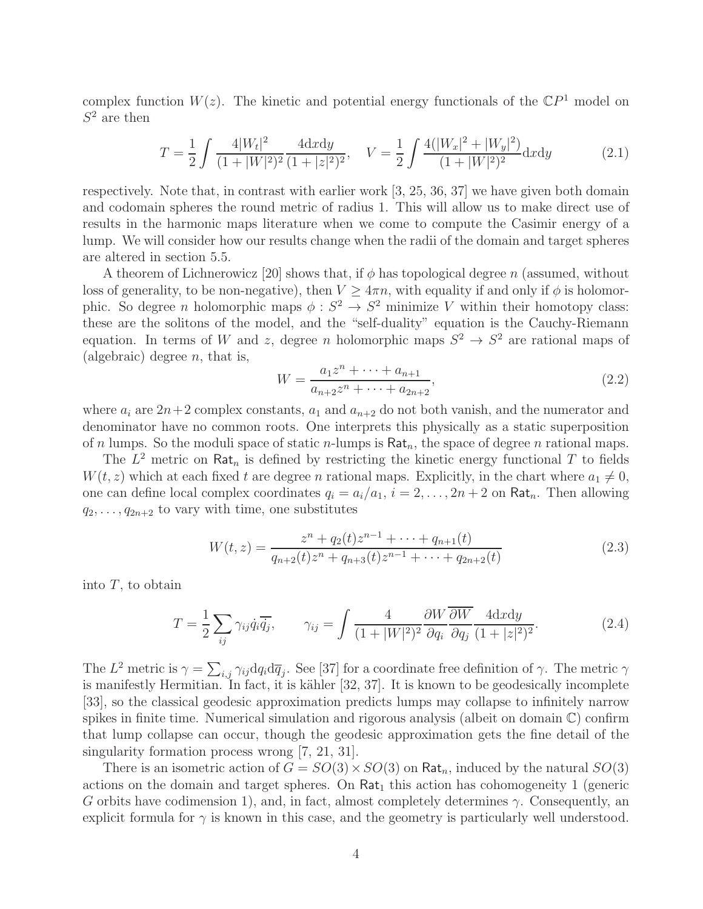complex function  $W(z)$ . The kinetic and potential energy functionals of the  $\mathbb{C}P<sup>1</sup>$  model on  $S^2$  are then

$$
T = \frac{1}{2} \int \frac{4|W_t|^2}{(1+|W|^2)^2} \frac{4dxdy}{(1+|z|^2)^2}, \quad V = \frac{1}{2} \int \frac{4(|W_x|^2 + |W_y|^2)}{(1+|W|^2)^2} dxdy \tag{2.1}
$$

respectively. Note that, in contrast with earlier work [3, 25, 36, 37] we have given both domain and codomain spheres the round metric of radius 1. This will allow us to make direct use of results in the harmonic maps literature when we come to compute the Casimir energy of a lump. We will consider how our results change when the radii of the domain and target spheres are altered in section 5.5.

A theorem of Lichnerowicz [20] shows that, if  $\phi$  has topological degree n (assumed, without loss of generality, to be non-negative), then  $V \geq 4\pi n$ , with equality if and only if  $\phi$  is holomorphic. So degree *n* holomorphic maps  $\phi : S^2 \to S^2$  minimize *V* within their homotopy class: these are the solitons of the model, and the "self-duality" equation is the Cauchy-Riemann equation. In terms of W and z, degree n holomorphic maps  $S^2 \to S^2$  are rational maps of (algebraic) degree  $n$ , that is,

$$
W = \frac{a_1 z^n + \dots + a_{n+1}}{a_{n+2} z^n + \dots + a_{2n+2}},
$$
\n(2.2)

where  $a_i$  are  $2n+2$  complex constants,  $a_1$  and  $a_{n+2}$  do not both vanish, and the numerator and denominator have no common roots. One interprets this physically as a static superposition of n lumps. So the moduli space of static n-lumps is  $\text{Rat}_n$ , the space of degree n rational maps.

The  $L^2$  metric on Rat<sub>n</sub> is defined by restricting the kinetic energy functional T to fields  $W(t, z)$  which at each fixed t are degree n rational maps. Explicitly, in the chart where  $a_1 \neq 0$ , one can define local complex coordinates  $q_i = a_i/a_1$ ,  $i = 2, ..., 2n + 2$  on Rat<sub>n</sub>. Then allowing  $q_2, \ldots, q_{2n+2}$  to vary with time, one substitutes

$$
W(t,z) = \frac{z^n + q_2(t)z^{n-1} + \dots + q_{n+1}(t)}{q_{n+2}(t)z^n + q_{n+3}(t)z^{n-1} + \dots + q_{2n+2}(t)}
$$
(2.3)

into  $T$ , to obtain

$$
T = \frac{1}{2} \sum_{ij} \gamma_{ij} \dot{q}_i \overline{\dot{q}_j}, \qquad \gamma_{ij} = \int \frac{4}{(1+|W|^2)^2} \frac{\partial W}{\partial q_i} \frac{\partial W}{\partial q_j} \frac{4 \, \mathrm{d}x \, \mathrm{d}y}{(1+|z|^2)^2}.
$$
 (2.4)

The  $L^2$  metric is  $\gamma = \sum_{i,j} \gamma_{ij} dq_i d\overline{q}_j$ . See [37] for a coordinate free definition of  $\gamma$ . The metric  $\gamma$ is manifestly Hermitian. In fact, it is kähler  $[32, 37]$ . It is known to be geodesically incomplete [33], so the classical geodesic approximation predicts lumps may collapse to infinitely narrow spikes in finite time. Numerical simulation and rigorous analysis (albeit on domain  $\mathbb{C}$ ) confirm that lump collapse can occur, though the geodesic approximation gets the fine detail of the singularity formation process wrong [7, 21, 31].

There is an isometric action of  $G = SO(3) \times SO(3)$  on Rat<sub>n</sub>, induced by the natural  $SO(3)$ actions on the domain and target spheres. On  $\text{Rat}_1$  this action has cohomogeneity 1 (generic G orbits have codimension 1), and, in fact, almost completely determines  $\gamma$ . Consequently, an explicit formula for  $\gamma$  is known in this case, and the geometry is particularly well understood.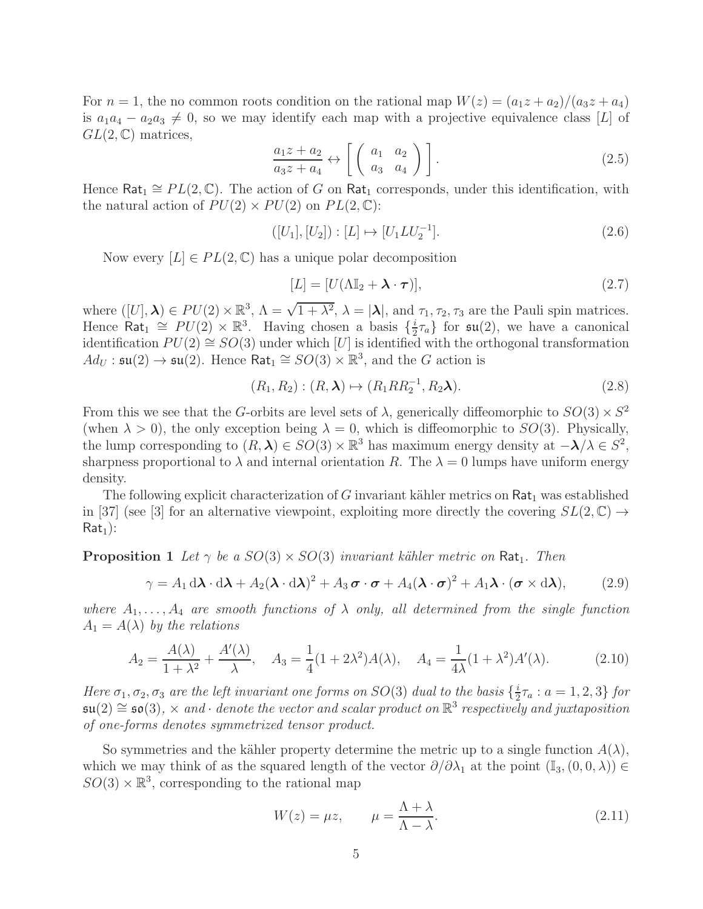For  $n = 1$ , the no common roots condition on the rational map  $W(z) = (a_1z + a_2)/(a_3z + a_4)$ is  $a_1a_4 - a_2a_3 \neq 0$ , so we may identify each map with a projective equivalence class [L] of  $GL(2,\mathbb{C})$  matrices,

$$
\frac{a_1 z + a_2}{a_3 z + a_4} \leftrightarrow \left[ \begin{array}{cc} a_1 & a_2 \\ a_3 & a_4 \end{array} \right] . \tag{2.5}
$$

Hence Rat<sub>1</sub>  $\cong PL(2,\mathbb{C})$ . The action of G on Rat<sub>1</sub> corresponds, under this identification, with the natural action of  $PU(2) \times PU(2)$  on  $PL(2, \mathbb{C})$ :

$$
([U_1], [U_2]) : [L] \mapsto [U_1 L U_2^{-1}]. \tag{2.6}
$$

Now every  $[L] \in PL(2, \mathbb{C})$  has a unique polar decomposition

$$
[L] = [U(\Lambda \mathbb{I}_2 + \lambda \cdot \boldsymbol{\tau})], \tag{2.7}
$$

where  $([U], \lambda) \in PU(2) \times \mathbb{R}^3$ ,  $\Lambda = \sqrt{1 + \lambda^2}$ ,  $\lambda = |\lambda|$ , and  $\tau_1, \tau_2, \tau_3$  are the Pauli spin matrices. Hence  $\text{Rat}_1 \cong PU(2) \times \mathbb{R}^3$ . Having chosen a basis  $\{\frac{i}{2}\}$  $\frac{i}{2}\tau_a$ } for  $\mathfrak{su}(2)$ , we have a canonical identification  $PU(2) \cong SO(3)$  under which [U] is identified with the orthogonal transformation  $Ad_U : \mathfrak{su}(2) \to \mathfrak{su}(2)$ . Hence  $\textsf{Rat}_1 \cong SO(3) \times \mathbb{R}^3$ , and the G action is

$$
(R_1, R_2) : (R, \lambda) \mapsto (R_1 R R_2^{-1}, R_2 \lambda). \tag{2.8}
$$

From this we see that the G-orbits are level sets of  $\lambda$ , generically diffeomorphic to  $SO(3) \times S^2$ (when  $\lambda > 0$ ), the only exception being  $\lambda = 0$ , which is diffeomorphic to  $SO(3)$ . Physically, the lump corresponding to  $(R, \lambda) \in SO(3) \times \mathbb{R}^3$  has maximum energy density at  $-\lambda/\lambda \in S^2$ , sharpness proportional to  $\lambda$  and internal orientation R. The  $\lambda = 0$  lumps have uniform energy density.

The following explicit characterization of G invariant kähler metrics on  $\text{Rat}_1$  was established in [37] (see [3] for an alternative viewpoint, exploiting more directly the covering  $SL(2,\mathbb{C}) \rightarrow$  $Rat<sub>1</sub>$ :

**Proposition 1** Let  $\gamma$  be a  $SO(3) \times SO(3)$  *invariant kähler metric on* Rat<sub>1</sub>. Then

$$
\gamma = A_1 \, d\lambda \cdot d\lambda + A_2 (\lambda \cdot d\lambda)^2 + A_3 \, \boldsymbol{\sigma} \cdot \boldsymbol{\sigma} + A_4 (\lambda \cdot \boldsymbol{\sigma})^2 + A_1 \lambda \cdot (\boldsymbol{\sigma} \times d\lambda), \tag{2.9}
$$

*where*  $A_1, \ldots, A_4$  *are smooth functions of*  $\lambda$  *only, all determined from the single function*  $A_1 = A(\lambda)$  by the relations

$$
A_2 = \frac{A(\lambda)}{1 + \lambda^2} + \frac{A'(\lambda)}{\lambda}, \quad A_3 = \frac{1}{4}(1 + 2\lambda^2)A(\lambda), \quad A_4 = \frac{1}{4\lambda}(1 + \lambda^2)A'(\lambda).
$$
 (2.10)

*Here*  $\sigma_1, \sigma_2, \sigma_3$  *are the left invariant one forms on*  $SO(3)$  *dual to the basis*  $\{\frac{i}{2}\}$  $\frac{i}{2}\tau_a : a = 1, 2, 3$  *for*  $\mathfrak{su}(2) \cong \mathfrak{so}(3)$ ,  $\times$  and · *denote the vector and scalar product on*  $\mathbb{R}^3$  *respectively and juxtaposition of one-forms denotes symmetrized tensor product.*

So symmetries and the kähler property determine the metric up to a single function  $A(\lambda)$ , which we may think of as the squared length of the vector  $\partial/\partial\lambda_1$  at the point  $(\mathbb{I}_3,(0,0,\lambda))\in$  $SO(3) \times \mathbb{R}^3$ , corresponding to the rational map

$$
W(z) = \mu z, \qquad \mu = \frac{\Lambda + \lambda}{\Lambda - \lambda}.
$$
\n(2.11)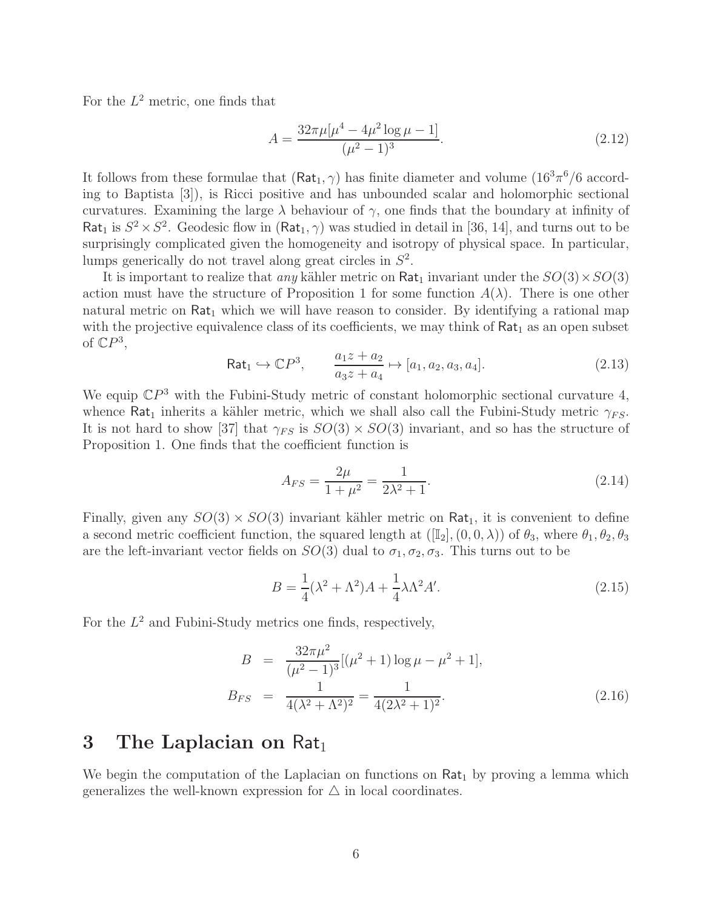For the  $L^2$  metric, one finds that

$$
A = \frac{32\pi\mu[\mu^4 - 4\mu^2\log\mu - 1]}{(\mu^2 - 1)^3}.
$$
 (2.12)

It follows from these formulae that  $(Rat_1, \gamma)$  has finite diameter and volume  $(16^3\pi^6/6 \text{ accord}$ ing to Baptista [3]), is Ricci positive and has unbounded scalar and holomorphic sectional curvatures. Examining the large  $\lambda$  behaviour of  $\gamma$ , one finds that the boundary at infinity of Rat<sub>1</sub> is  $S^2 \times S^2$ . Geodesic flow in  $(Rat_1, \gamma)$  was studied in detail in [36, 14], and turns out to be surprisingly complicated given the homogeneity and isotropy of physical space. In particular, lumps generically do not travel along great circles in  $S^2$ .

It is important to realize that *any* kähler metric on  $\text{Rat}_1$  invariant under the  $SO(3) \times SO(3)$ action must have the structure of Proposition 1 for some function  $A(\lambda)$ . There is one other natural metric on  $\text{Rat}_1$  which we will have reason to consider. By identifying a rational map with the projective equivalence class of its coefficients, we may think of  $Rat<sub>1</sub>$  as an open subset of  $\mathbb{C}P^3$ ,

$$
\text{Rat}_1 \hookrightarrow \mathbb{C}P^3, \qquad \frac{a_1 z + a_2}{a_3 z + a_4} \mapsto [a_1, a_2, a_3, a_4]. \tag{2.13}
$$

We equip  $\mathbb{C}P^3$  with the Fubini-Study metric of constant holomorphic sectional curvature 4, whence Rat<sub>1</sub> inherits a kähler metric, which we shall also call the Fubini-Study metric  $\gamma_{FS}$ . It is not hard to show [37] that  $\gamma_{FS}$  is  $SO(3) \times SO(3)$  invariant, and so has the structure of Proposition 1. One finds that the coefficient function is

$$
A_{FS} = \frac{2\mu}{1 + \mu^2} = \frac{1}{2\lambda^2 + 1}.
$$
\n(2.14)

Finally, given any  $SO(3) \times SO(3)$  invariant kähler metric on Rat<sub>1</sub>, it is convenient to define a second metric coefficient function, the squared length at  $([\mathbb{I}_2],(0,0,\lambda))$  of  $\theta_3$ , where  $\theta_1, \theta_2, \theta_3$ are the left-invariant vector fields on  $SO(3)$  dual to  $\sigma_1, \sigma_2, \sigma_3$ . This turns out to be

$$
B = \frac{1}{4}(\lambda^2 + \Lambda^2)A + \frac{1}{4}\lambda\Lambda^2 A'.
$$
\n(2.15)

For the  $L^2$  and Fubini-Study metrics one finds, respectively,

$$
B = \frac{32\pi\mu^2}{(\mu^2 - 1)^3} [(\mu^2 + 1) \log \mu - \mu^2 + 1],
$$
  
\n
$$
B_{FS} = \frac{1}{4(\lambda^2 + \Lambda^2)^2} = \frac{1}{4(2\lambda^2 + 1)^2}.
$$
\n(2.16)

## 3 The Laplacian on  $Rat_1$

We begin the computation of the Laplacian on functions on  $\text{Rat}_1$  by proving a lemma which generalizes the well-known expression for  $\triangle$  in local coordinates.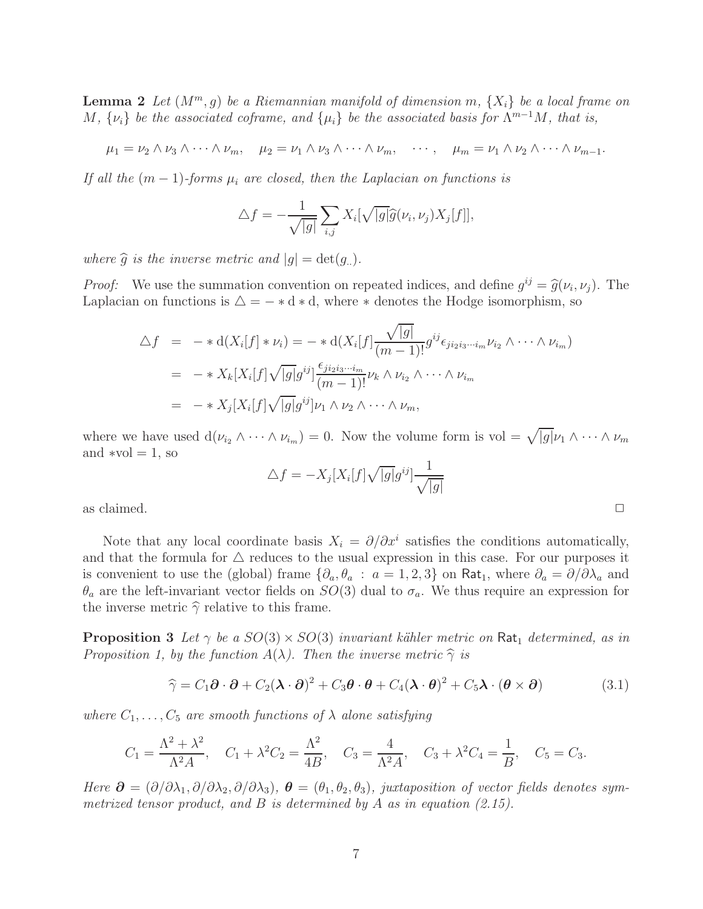**Lemma 2** Let  $(M^m, g)$  be a Riemannian manifold of dimension m,  $\{X_i\}$  be a local frame on  $M, \{\nu_i\}$  *be the associated coframe, and*  $\{\mu_i\}$  *be the associated basis for*  $\Lambda^{m-1}M$ *, that is,* 

$$
\mu_1 = \nu_2 \wedge \nu_3 \wedge \cdots \wedge \nu_m, \quad \mu_2 = \nu_1 \wedge \nu_3 \wedge \cdots \wedge \nu_m, \quad \cdots, \quad \mu_m = \nu_1 \wedge \nu_2 \wedge \cdots \wedge \nu_{m-1}.
$$

*If all the*  $(m-1)$ *-forms*  $\mu_i$  *are closed, then the Laplacian on functions is* 

$$
\triangle f = -\frac{1}{\sqrt{|g|}} \sum_{i,j} X_i[\sqrt{|g|} \widehat{g}(\nu_i, \nu_j) X_j[f]],
$$

*where*  $\hat{g}$  *is the inverse metric and*  $|g| = \det(g_n)$ *.* 

*Proof:* We use the summation convention on repeated indices, and define  $g^{ij} = \hat{g}(\nu_i, \nu_j)$ . The Laplacian on functions is  $\Delta = - * d * d$ , where  $*$  denotes the Hodge isomorphism, so

$$
\Delta f = -* d(X_i[f] * \nu_i) = -* d(X_i[f] \frac{\sqrt{|g|}}{(m-1)!} g^{ij} \epsilon_{ji_2 i_3 \cdots i_m} \nu_{i_2} \wedge \cdots \wedge \nu_{i_m})
$$
  
=  $-* X_k[X_i[f] \sqrt{|g|} g^{ij}] \frac{\epsilon_{ji_2 i_3 \cdots i_m}}{(m-1)!} \nu_k \wedge \nu_{i_2} \wedge \cdots \wedge \nu_{i_m}$   
=  $-* X_j[X_i[f] \sqrt{|g|} g^{ij}] \nu_1 \wedge \nu_2 \wedge \cdots \wedge \nu_m,$ 

where we have used  $d(\nu_{i_2} \wedge \cdots \wedge \nu_{i_m}) = 0$ . Now the volume form is vol  $= \sqrt{|g|} \nu_1 \wedge \cdots \wedge \nu_m$ and  $*vol = 1$ , so

$$
\triangle f = -X_j[X_i[f]\sqrt{|g|}g^{ij}]\frac{1}{\sqrt{|g|}}
$$
 as claimed.

Note that any local coordinate basis  $X_i = \partial/\partial x^i$  satisfies the conditions automatically, and that the formula for  $\triangle$  reduces to the usual expression in this case. For our purposes it is convenient to use the (global) frame  $\{\partial_a, \theta_a : a = 1, 2, 3\}$  on Rat<sub>1</sub>, where  $\partial_a = \partial/\partial \lambda_a$  and  $\theta_a$  are the left-invariant vector fields on  $SO(3)$  dual to  $\sigma_a$ . We thus require an expression for the inverse metric  $\hat{\gamma}$  relative to this frame.

**Proposition 3** Let  $\gamma$  be a  $SO(3) \times SO(3)$  *invariant kähler metric on* Rat<sub>1</sub> determined, as in *Proposition 1, by the function*  $A(\lambda)$ *. Then the inverse metric*  $\hat{\gamma}$  *is* 

$$
\widehat{\gamma} = C_1 \partial \cdot \partial + C_2 (\lambda \cdot \partial)^2 + C_3 \theta \cdot \partial + C_4 (\lambda \cdot \partial)^2 + C_5 \lambda \cdot (\partial \times \partial)
$$
(3.1)

*where*  $C_1, \ldots, C_5$  *are smooth functions of*  $\lambda$  *alone satisfying* 

$$
C_1 = \frac{\Lambda^2 + \lambda^2}{\Lambda^2 A}, \quad C_1 + \lambda^2 C_2 = \frac{\Lambda^2}{4B}, \quad C_3 = \frac{4}{\Lambda^2 A}, \quad C_3 + \lambda^2 C_4 = \frac{1}{B}, \quad C_5 = C_3.
$$

*Here*  $\partial = (\partial/\partial\lambda_1, \partial/\partial\lambda_2, \partial/\partial\lambda_3), \ \theta = (\theta_1, \theta_2, \theta_3)$ , juxtaposition of vector fields denotes sym*metrized tensor product, and* B *is determined by* A *as in equation (2.15).*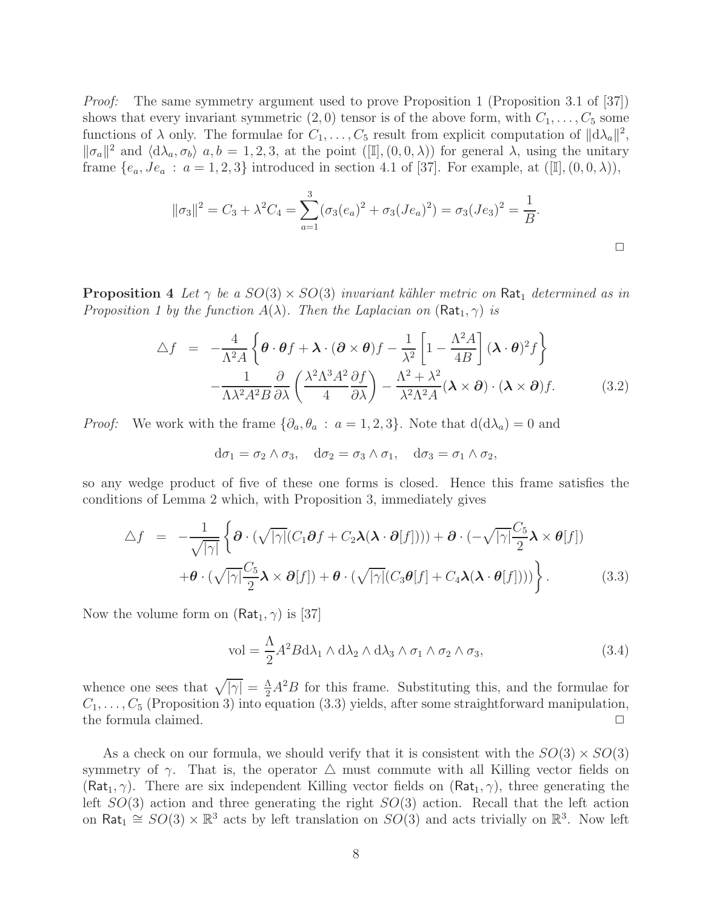*Proof:* The same symmetry argument used to prove Proposition 1 (Proposition 3.1 of [37]) shows that every invariant symmetric  $(2,0)$  tensor is of the above form, with  $C_1, \ldots, C_5$  some functions of  $\lambda$  only. The formulae for  $C_1, \ldots, C_5$  result from explicit computation of  $||d\lambda_a||^2$ ,  $\|\sigma_a\|^2$  and  $\langle d\lambda_a, \sigma_b \rangle$  a,  $b = 1, 2, 3$ , at the point  $([\mathbb{I}], (0, 0, \lambda))$  for general  $\lambda$ , using the unitary frame  $\{e_a, Je_a : a = 1, 2, 3\}$  introduced in section 4.1 of [37]. For example, at  $([\mathbb{I}], (0, 0, \lambda)),$ 

$$
\|\sigma_3\|^2 = C_3 + \lambda^2 C_4 = \sum_{a=1}^3 (\sigma_3(e_a)^2 + \sigma_3(Je_a)^2) = \sigma_3(Je_3)^2 = \frac{1}{B}.
$$

**Proposition** 4 Let  $\gamma$  be a  $SO(3) \times SO(3)$  *invariant kähler metric on* Rat<sub>1</sub> determined as in *Proposition 1 by the function*  $A(\lambda)$ *. Then the Laplacian on*  $(Rat_1, \gamma)$  *is* 

$$
\Delta f = -\frac{4}{\Lambda^2 A} \left\{ \boldsymbol{\theta} \cdot \boldsymbol{\theta} f + \boldsymbol{\lambda} \cdot (\boldsymbol{\partial} \times \boldsymbol{\theta}) f - \frac{1}{\lambda^2} \left[ 1 - \frac{\Lambda^2 A}{4B} \right] (\boldsymbol{\lambda} \cdot \boldsymbol{\theta})^2 f \right\} -\frac{1}{\Lambda \lambda^2 A^2 B} \frac{\partial}{\partial \lambda} \left( \frac{\lambda^2 \Lambda^3 A^2}{4} \frac{\partial f}{\partial \lambda} \right) - \frac{\Lambda^2 + \lambda^2}{\lambda^2 \Lambda^2 A} (\boldsymbol{\lambda} \times \boldsymbol{\partial}) \cdot (\boldsymbol{\lambda} \times \boldsymbol{\partial}) f. \tag{3.2}
$$

*Proof:* We work with the frame  $\{\partial_a, \theta_a : a = 1, 2, 3\}$ . Note that  $d(d\lambda_a) = 0$  and

 $d\sigma_1 = \sigma_2 \wedge \sigma_3$ ,  $d\sigma_2 = \sigma_3 \wedge \sigma_1$ ,  $d\sigma_3 = \sigma_1 \wedge \sigma_2$ ,

so any wedge product of five of these one forms is closed. Hence this frame satisfies the conditions of Lemma 2 which, with Proposition 3, immediately gives

$$
\Delta f = -\frac{1}{\sqrt{|\gamma|}} \left\{ \boldsymbol{\partial} \cdot (\sqrt{|\gamma|} (C_1 \boldsymbol{\partial} f + C_2 \boldsymbol{\lambda} (\boldsymbol{\lambda} \cdot \boldsymbol{\partial} [f])) + \boldsymbol{\partial} \cdot (-\sqrt{|\gamma|} \frac{C_5}{2} \boldsymbol{\lambda} \times \boldsymbol{\theta} [f]) \right. \\ \left. + \boldsymbol{\theta} \cdot (\sqrt{|\gamma|} \frac{C_5}{2} \boldsymbol{\lambda} \times \boldsymbol{\partial} [f]) + \boldsymbol{\theta} \cdot (\sqrt{|\gamma|} (C_3 \boldsymbol{\theta} [f] + C_4 \boldsymbol{\lambda} (\boldsymbol{\lambda} \cdot \boldsymbol{\theta} [f])) ) \right\}.
$$
 (3.3)

Now the volume form on  $(Rat_1, \gamma)$  is [37]

$$
\text{vol} = \frac{\Lambda}{2} A^2 B \, \text{d}\lambda_1 \wedge \text{d}\lambda_2 \wedge \text{d}\lambda_3 \wedge \sigma_1 \wedge \sigma_2 \wedge \sigma_3,\tag{3.4}
$$

whence one sees that  $\sqrt{|\gamma|} = \frac{\Lambda}{2} A^2 B$  for this frame. Substituting this, and the formulae for  $C_1, \ldots, C_5$  (Proposition 3) into equation (3.3) yields, after some straightforward manipulation, the formula claimed.  $\Box$ 

As a check on our formula, we should verify that it is consistent with the  $SO(3) \times SO(3)$ symmetry of  $\gamma$ . That is, the operator  $\Delta$  must commute with all Killing vector fields on (Rat<sub>1</sub>,  $\gamma$ ). There are six independent Killing vector fields on (Rat<sub>1</sub>,  $\gamma$ ), three generating the left  $SO(3)$  action and three generating the right  $SO(3)$  action. Recall that the left action on Rat<sub>1</sub>  $\cong SO(3) \times \mathbb{R}^3$  acts by left translation on  $SO(3)$  and acts trivially on  $\mathbb{R}^3$ . Now left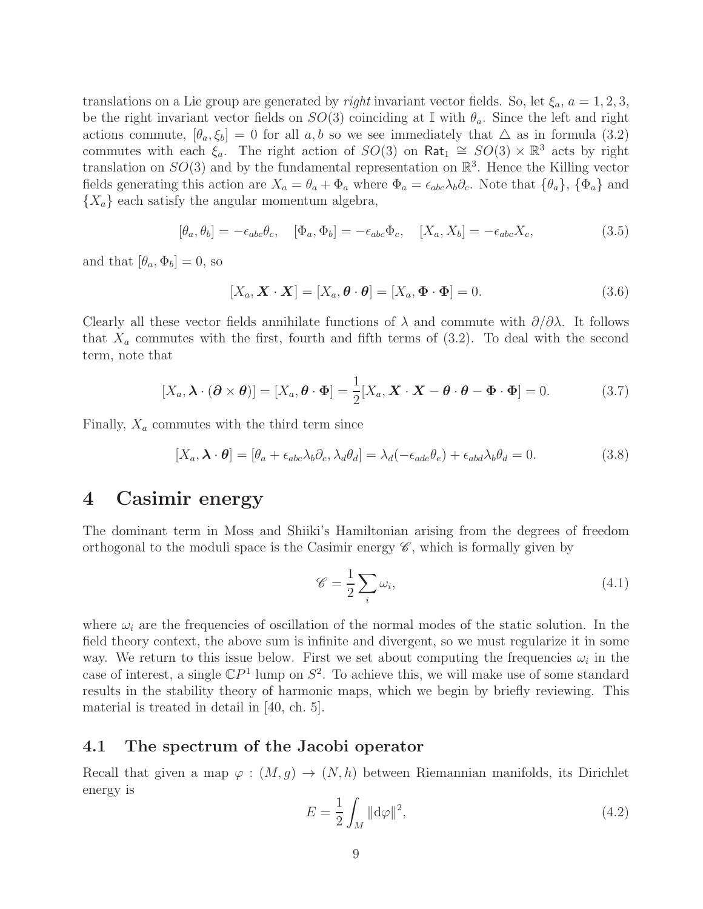translations on a Lie group are generated by *right* invariant vector fields. So, let  $\xi_a$ ,  $a = 1, 2, 3$ , be the right invariant vector fields on  $SO(3)$  coinciding at I with  $\theta_a$ . Since the left and right actions commute,  $[\theta_a, \xi_b] = 0$  for all a, b so we see immediately that  $\Delta$  as in formula (3.2) commutes with each  $\xi_a$ . The right action of  $SO(3)$  on Rat<sub>1</sub>  $\cong SO(3) \times \mathbb{R}^3$  acts by right translation on  $SO(3)$  and by the fundamental representation on  $\mathbb{R}^3$ . Hence the Killing vector fields generating this action are  $X_a = \theta_a + \Phi_a$  where  $\Phi_a = \epsilon_{abc} \lambda_b \partial_c$ . Note that  $\{\theta_a\}, \{\Phi_a\}$  and  ${X_a}$  each satisfy the angular momentum algebra,

$$
[\theta_a, \theta_b] = -\epsilon_{abc}\theta_c, \quad [\Phi_a, \Phi_b] = -\epsilon_{abc}\Phi_c, \quad [X_a, X_b] = -\epsilon_{abc}X_c,\tag{3.5}
$$

and that  $[\theta_a, \Phi_b] = 0$ , so

$$
[X_a, \mathbf{X} \cdot \mathbf{X}] = [X_a, \boldsymbol{\theta} \cdot \boldsymbol{\theta}] = [X_a, \boldsymbol{\Phi} \cdot \boldsymbol{\Phi}] = 0.
$$
 (3.6)

Clearly all these vector fields annihilate functions of  $\lambda$  and commute with  $\partial/\partial\lambda$ . It follows that  $X_a$  commutes with the first, fourth and fifth terms of  $(3.2)$ . To deal with the second term, note that

$$
[X_a, \boldsymbol{\lambda} \cdot (\boldsymbol{\partial} \times \boldsymbol{\theta})] = [X_a, \boldsymbol{\theta} \cdot \boldsymbol{\Phi}] = \frac{1}{2} [X_a, \boldsymbol{X} \cdot \boldsymbol{X} - \boldsymbol{\theta} \cdot \boldsymbol{\theta} - \boldsymbol{\Phi} \cdot \boldsymbol{\Phi}] = 0.
$$
 (3.7)

Finally,  $X_a$  commutes with the third term since

$$
[X_a, \lambda \cdot \theta] = [\theta_a + \epsilon_{abc} \lambda_b \partial_c, \lambda_d \theta_d] = \lambda_d (-\epsilon_{ade} \theta_e) + \epsilon_{abd} \lambda_b \theta_d = 0.
$$
 (3.8)

## 4 Casimir energy

The dominant term in Moss and Shiiki's Hamiltonian arising from the degrees of freedom orthogonal to the moduli space is the Casimir energy  $\mathscr{C}$ , which is formally given by

$$
\mathscr{C} = \frac{1}{2} \sum_{i} \omega_i,\tag{4.1}
$$

where  $\omega_i$  are the frequencies of oscillation of the normal modes of the static solution. In the field theory context, the above sum is infinite and divergent, so we must regularize it in some way. We return to this issue below. First we set about computing the frequencies  $\omega_i$  in the case of interest, a single  $\mathbb{C}P^1$  lump on  $S^2$ . To achieve this, we will make use of some standard results in the stability theory of harmonic maps, which we begin by briefly reviewing. This material is treated in detail in [40, ch. 5].

#### 4.1 The spectrum of the Jacobi operator

Recall that given a map  $\varphi : (M, g) \to (N, h)$  between Riemannian manifolds, its Dirichlet energy is

$$
E = \frac{1}{2} \int_M \|\mathrm{d}\varphi\|^2,\tag{4.2}
$$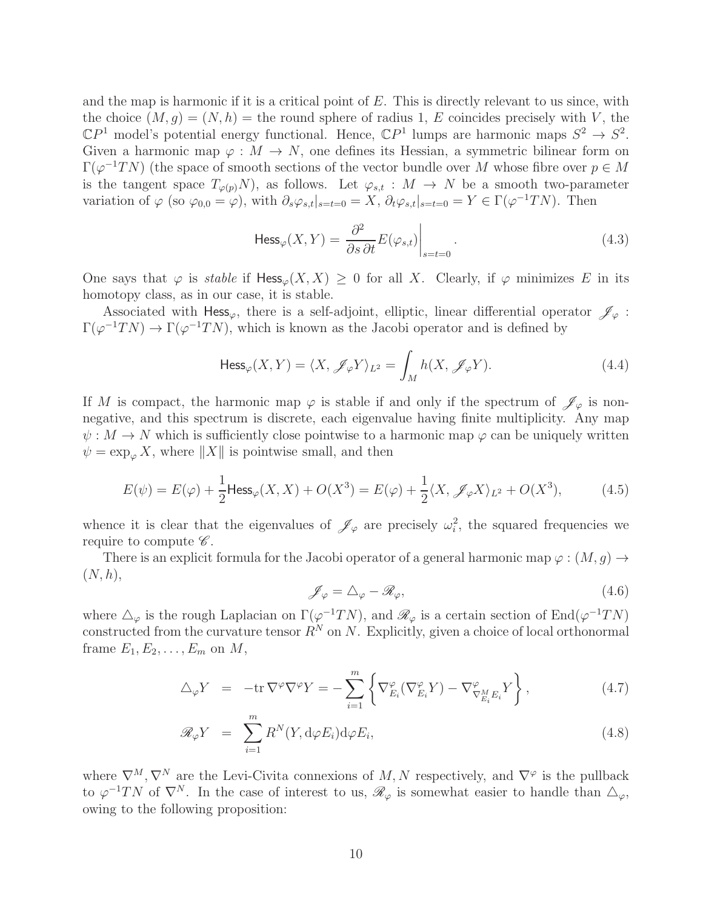and the map is harmonic if it is a critical point of  $E$ . This is directly relevant to us since, with the choice  $(M, g) = (N, h)$  = the round sphere of radius 1, E coincides precisely with V, the  $\mathbb{C}P^1$  model's potential energy functional. Hence,  $\mathbb{C}P^1$  lumps are harmonic maps  $S^2 \to S^2$ . Given a harmonic map  $\varphi : M \to N$ , one defines its Hessian, a symmetric bilinear form on  $\Gamma(\varphi^{-1}TN)$  (the space of smooth sections of the vector bundle over M whose fibre over  $p \in M$ is the tangent space  $T_{\varphi(p)}N$ , as follows. Let  $\varphi_{s,t}: M \to N$  be a smooth two-parameter variation of  $\varphi$  (so  $\varphi_{0,0} = \varphi$ ), with  $\partial_s \varphi_{s,t}|_{s=t=0} = X$ ,  $\partial_t \varphi_{s,t}|_{s=t=0} = Y \in \Gamma(\varphi^{-1}TN)$ . Then

$$
\text{Hess}_{\varphi}(X, Y) = \left. \frac{\partial^2}{\partial s \, \partial t} E(\varphi_{s,t}) \right|_{s=t=0}.
$$
\n(4.3)

One says that  $\varphi$  is *stable* if Hess<sub> $\varphi$ </sub> $(X, X) \geq 0$  for all X. Clearly, if  $\varphi$  minimizes E in its homotopy class, as in our case, it is stable.

Associated with Hess<sub> $\varphi$ </sub>, there is a self-adjoint, elliptic, linear differential operator  $\mathscr{J}_{\varphi}$ :  $\Gamma(\varphi^{-1}TN) \to \Gamma(\varphi^{-1}TN)$ , which is known as the Jacobi operator and is defined by

$$
\text{Hess}_{\varphi}(X, Y) = \langle X, \mathcal{J}_{\varphi} Y \rangle_{L^2} = \int_M h(X, \mathcal{J}_{\varphi} Y). \tag{4.4}
$$

If M is compact, the harmonic map  $\varphi$  is stable if and only if the spectrum of  $\mathscr{J}_{\varphi}$  is nonnegative, and this spectrum is discrete, each eigenvalue having finite multiplicity. Any map  $\psi: M \to N$  which is sufficiently close pointwise to a harmonic map  $\varphi$  can be uniquely written  $\psi = \exp_{\varphi} X$ , where  $||X||$  is pointwise small, and then

$$
E(\psi) = E(\varphi) + \frac{1}{2} \text{Hess}_{\varphi}(X, X) + O(X^3) = E(\varphi) + \frac{1}{2} \langle X, \mathscr{J}_{\varphi} X \rangle_{L^2} + O(X^3),\tag{4.5}
$$

whence it is clear that the eigenvalues of  $\mathscr{J}_{\varphi}$  are precisely  $\omega_i^2$ , the squared frequencies we require to compute  $\mathscr{C}.$ 

There is an explicit formula for the Jacobi operator of a general harmonic map  $\varphi : (M, q) \rightarrow$  $(N, h),$ 

$$
\mathscr{J}_{\varphi} = \Delta_{\varphi} - \mathscr{R}_{\varphi},\tag{4.6}
$$

where  $\Delta_{\varphi}$  is the rough Laplacian on  $\Gamma(\varphi^{-1}TN)$ , and  $\mathscr{R}_{\varphi}$  is a certain section of End $(\varphi^{-1}TN)$ constructed from the curvature tensor  $R^N$  on N. Explicitly, given a choice of local orthonormal frame  $E_1, E_2, \ldots, E_m$  on  $M$ ,

$$
\Delta_{\varphi} Y = -\text{tr}\,\nabla^{\varphi}\nabla^{\varphi} Y = -\sum_{i=1}^{m} \left\{ \nabla_{E_i}^{\varphi} (\nabla_{E_i}^{\varphi} Y) - \nabla_{\nabla_{E_i}^M E_i}^{\varphi} Y \right\},\tag{4.7}
$$

$$
\mathcal{R}_{\varphi} Y = \sum_{i=1}^{m} R^{N}(Y, d\varphi E_{i}) d\varphi E_{i}, \qquad (4.8)
$$

where  $\nabla^M$ ,  $\nabla^N$  are the Levi-Civita connexions of M, N respectively, and  $\nabla^\varphi$  is the pullback to  $\varphi^{-1}TN$  of  $\nabla^N$ . In the case of interest to us,  $\mathscr{R}_{\varphi}$  is somewhat easier to handle than  $\Delta_{\varphi}$ , owing to the following proposition: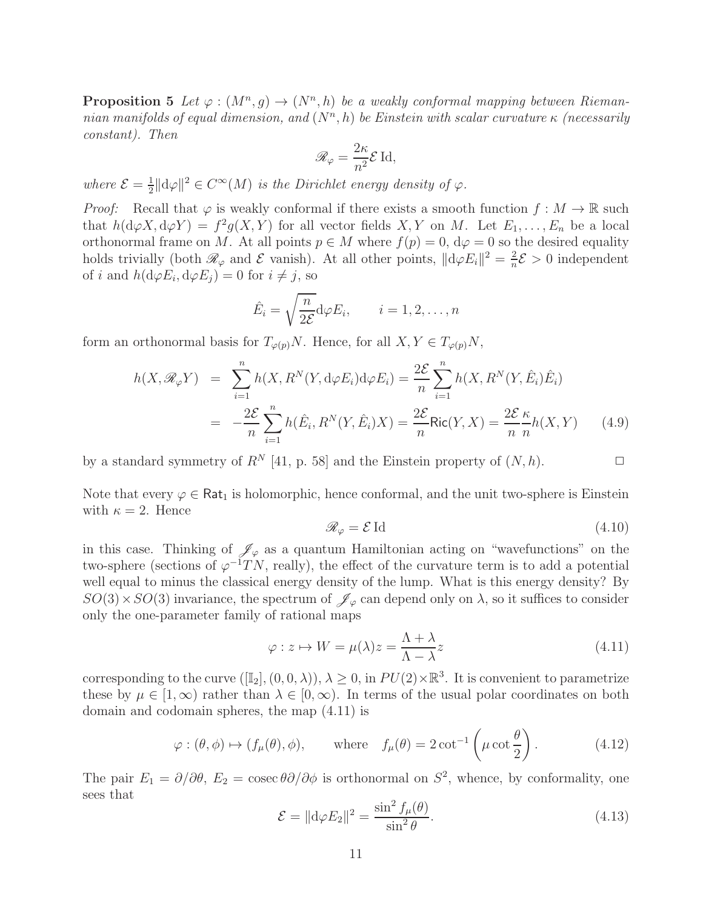**Proposition 5** Let  $\varphi : (M^n, g) \to (N^n, h)$  be a weakly conformal mapping between Rieman $nian$  manifolds of equal dimension, and  $(N<sup>n</sup>, h)$  be Einstein with scalar curvature  $\kappa$  (necessarily *constant). Then*

$$
\mathscr{R}_{\varphi} = \frac{2\kappa}{n^2} \mathcal{E} \operatorname{Id},
$$

*where*  $\mathcal{E} = \frac{1}{2}$  $\frac{1}{2} \|\mathrm{d}\varphi\|^2 \in C^\infty(M)$  *is the Dirichlet energy density of*  $\varphi$ .

*Proof:* Recall that  $\varphi$  is weakly conformal if there exists a smooth function  $f : M \to \mathbb{R}$  such that  $h(\mathrm{d}\varphi X,\mathrm{d}\varphi Y) = f^2g(X,Y)$  for all vector fields  $X,Y$  on M. Let  $E_1,\ldots,E_n$  be a local orthonormal frame on M. At all points  $p \in M$  where  $f(p) = 0$ ,  $d\varphi = 0$  so the desired equality holds trivially (both  $\mathcal{R}_{\varphi}$  and  $\mathcal E$  vanish). At all other points,  $||d\varphi E_i||^2 = \frac{2}{n}$  $\frac{2}{n}\mathcal{E} > 0$  independent of *i* and  $h(\mathrm{d}\varphi E_i, \mathrm{d}\varphi E_j) = 0$  for  $i \neq j$ , so

$$
\hat{E}_i = \sqrt{\frac{n}{2\mathcal{E}}} \mathrm{d}\varphi E_i, \qquad i = 1, 2, \dots, n
$$

form an orthonormal basis for  $T_{\varphi(p)}N$ . Hence, for all  $X, Y \in T_{\varphi(p)}N$ ,

$$
h(X, \mathcal{R}_{\varphi} Y) = \sum_{i=1}^{n} h(X, R^{N}(Y, d\varphi E_{i}) d\varphi E_{i}) = \frac{2\mathcal{E}}{n} \sum_{i=1}^{n} h(X, R^{N}(Y, \hat{E}_{i}) \hat{E}_{i})
$$

$$
= -\frac{2\mathcal{E}}{n} \sum_{i=1}^{n} h(\hat{E}_{i}, R^{N}(Y, \hat{E}_{i}) X) = \frac{2\mathcal{E}}{n} \text{Ric}(Y, X) = \frac{2\mathcal{E}}{n} \frac{\kappa}{n} h(X, Y) \qquad (4.9)
$$

by a standard symmetry of  $R^N$  [41, p. 58] and the Einstein property of  $(N, h)$ .

Note that every  $\varphi \in \text{Rat}_1$  is holomorphic, hence conformal, and the unit two-sphere is Einstein with  $\kappa = 2$ . Hence

$$
\mathcal{R}_{\varphi} = \mathcal{E} \operatorname{Id} \tag{4.10}
$$

in this case. Thinking of  $\mathscr{J}_{\varphi}$  as a quantum Hamiltonian acting on "wavefunctions" on the two-sphere (sections of  $\varphi^{-1}TN$ , really), the effect of the curvature term is to add a potential well equal to minus the classical energy density of the lump. What is this energy density? By  $SO(3)\times SO(3)$  invariance, the spectrum of  $\mathscr{J}_{\varphi}$  can depend only on  $\lambda$ , so it suffices to consider only the one-parameter family of rational maps

$$
\varphi: z \mapsto W = \mu(\lambda)z = \frac{\Lambda + \lambda}{\Lambda - \lambda}z \tag{4.11}
$$

corresponding to the curve  $([\mathbb{I}_2], (0, 0, \lambda)), \lambda \geq 0$ , in  $PU(2) \times \mathbb{R}^3$ . It is convenient to parametrize these by  $\mu \in [1,\infty)$  rather than  $\lambda \in [0,\infty)$ . In terms of the usual polar coordinates on both domain and codomain spheres, the map (4.11) is

$$
\varphi : (\theta, \phi) \mapsto (f_{\mu}(\theta), \phi), \quad \text{where} \quad f_{\mu}(\theta) = 2 \cot^{-1} \left( \mu \cot \frac{\theta}{2} \right). \tag{4.12}
$$

The pair  $E_1 = \partial/\partial \theta$ ,  $E_2 = \csc \theta \partial/\partial \phi$  is orthonormal on  $S^2$ , whence, by conformality, one sees that

$$
\mathcal{E} = \|\mathrm{d}\varphi E_2\|^2 = \frac{\sin^2 f_\mu(\theta)}{\sin^2 \theta}.
$$
\n(4.13)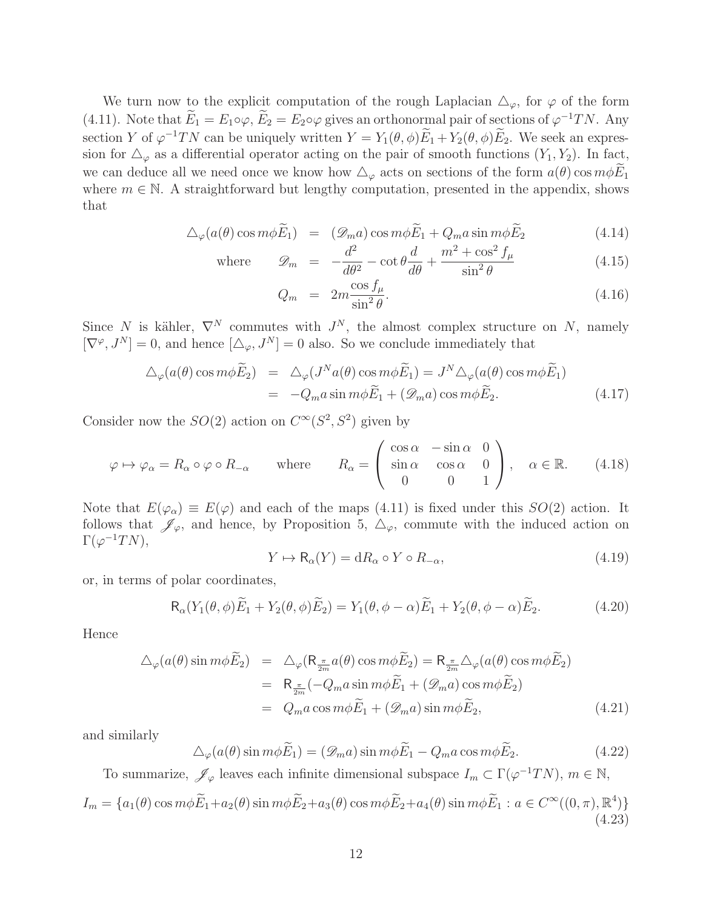We turn now to the explicit computation of the rough Laplacian  $\Delta_{\varphi}$ , for  $\varphi$  of the form (4.11). Note that  $E_1 = E_1 \circ \varphi$ ,  $E_2 = E_2 \circ \varphi$  gives an orthonormal pair of sections of  $\varphi^{-1}TN$ . Any section Y of  $\varphi^{-1}TN$  can be uniquely written  $Y = Y_1(\theta, \phi)E_1 + Y_2(\theta, \phi)E_2$ . We seek an expression for  $\Delta_{\varphi}$  as a differential operator acting on the pair of smooth functions  $(Y_1, Y_2)$ . In fact, we can deduce all we need once we know how  $\Delta_{\varphi}$  acts on sections of the form  $a(\theta)$  cos  $m\phi E_1$ where  $m \in \mathbb{N}$ . A straightforward but lengthy computation, presented in the appendix, shows that

$$
\Delta_{\varphi}(a(\theta)\cos m\phi \widetilde{E}_1) = (\mathscr{D}_m a)\cos m\phi \widetilde{E}_1 + Q_m a \sin m\phi \widetilde{E}_2 \tag{4.14}
$$

where 
$$
\mathcal{D}_m = -\frac{d^2}{d\theta^2} - \cot\theta \frac{d}{d\theta} + \frac{m^2 + \cos^2 f_\mu}{\sin^2 \theta}
$$
 (4.15)

$$
Q_m = 2m \frac{\cos f_\mu}{\sin^2 \theta}.
$$
\n(4.16)

Since N is kähler,  $\nabla^N$  commutes with  $J^N$ , the almost complex structure on N, namely  $[\nabla^{\varphi}, J^N] = 0$ , and hence  $[\Delta_{\varphi}, J^N] = 0$  also. So we conclude immediately that

$$
\Delta_{\varphi}(a(\theta)\cos m\phi\widetilde{E}_2) = \Delta_{\varphi}(J^Na(\theta)\cos m\phi\widetilde{E}_1) = J^N\Delta_{\varphi}(a(\theta)\cos m\phi\widetilde{E}_1)
$$
  
= 
$$
-Q_ma\sin m\phi\widetilde{E}_1 + (\mathscr{D}_ma)\cos m\phi\widetilde{E}_2.
$$
 (4.17)

Consider now the  $SO(2)$  action on  $C^{\infty}(S^2, S^2)$  given by

$$
\varphi \mapsto \varphi_{\alpha} = R_{\alpha} \circ \varphi \circ R_{-\alpha} \quad \text{where} \quad R_{\alpha} = \begin{pmatrix} \cos \alpha & -\sin \alpha & 0 \\ \sin \alpha & \cos \alpha & 0 \\ 0 & 0 & 1 \end{pmatrix}, \quad \alpha \in \mathbb{R}.
$$
 (4.18)

Note that  $E(\varphi_{\alpha}) \equiv E(\varphi)$  and each of the maps (4.11) is fixed under this  $SO(2)$  action. It follows that  $\mathscr{J}_{\varphi}$ , and hence, by Proposition 5,  $\Delta_{\varphi}$ , commute with the induced action on  $\Gamma(\varphi^{-1}TN),$ 

$$
Y \mapsto \mathsf{R}_{\alpha}(Y) = \mathrm{d}R_{\alpha} \circ Y \circ R_{-\alpha},\tag{4.19}
$$

or, in terms of polar coordinates,

$$
\mathsf{R}_{\alpha}(Y_1(\theta,\phi)\widetilde{E}_1 + Y_2(\theta,\phi)\widetilde{E}_2) = Y_1(\theta,\phi-\alpha)\widetilde{E}_1 + Y_2(\theta,\phi-\alpha)\widetilde{E}_2.
$$
 (4.20)

Hence

$$
\Delta_{\varphi}(a(\theta)\sin m\phi\widetilde{E}_2) = \Delta_{\varphi}(\mathsf{R}_{\frac{\pi}{2m}}a(\theta)\cos m\phi\widetilde{E}_2) = \mathsf{R}_{\frac{\pi}{2m}}\Delta_{\varphi}(a(\theta)\cos m\phi\widetilde{E}_2)
$$
  
\n
$$
= \mathsf{R}_{\frac{\pi}{2m}}(-Q_m a\sin m\phi\widetilde{E}_1 + (\mathscr{D}_m a)\cos m\phi\widetilde{E}_2)
$$
  
\n
$$
= Q_m a\cos m\phi\widetilde{E}_1 + (\mathscr{D}_m a)\sin m\phi\widetilde{E}_2,
$$
 (4.21)

and similarly

$$
\Delta_{\varphi}(a(\theta)\sin m\phi\widetilde{E}_1) = (\mathscr{D}_m a)\sin m\phi\widetilde{E}_1 - Q_m a\cos m\phi\widetilde{E}_2.
$$
\n(4.22)

To summarize,  $\mathscr{J}_{\varphi}$  leaves each infinite dimensional subspace  $I_m \subset \Gamma(\varphi^{-1}TN)$ ,  $m \in \mathbb{N}$ ,

$$
I_m = \{a_1(\theta)\cos m\phi \widetilde{E}_1 + a_2(\theta)\sin m\phi \widetilde{E}_2 + a_3(\theta)\cos m\phi \widetilde{E}_2 + a_4(\theta)\sin m\phi \widetilde{E}_1 : a \in C^\infty((0, \pi), \mathbb{R}^4)\}
$$
(4.23)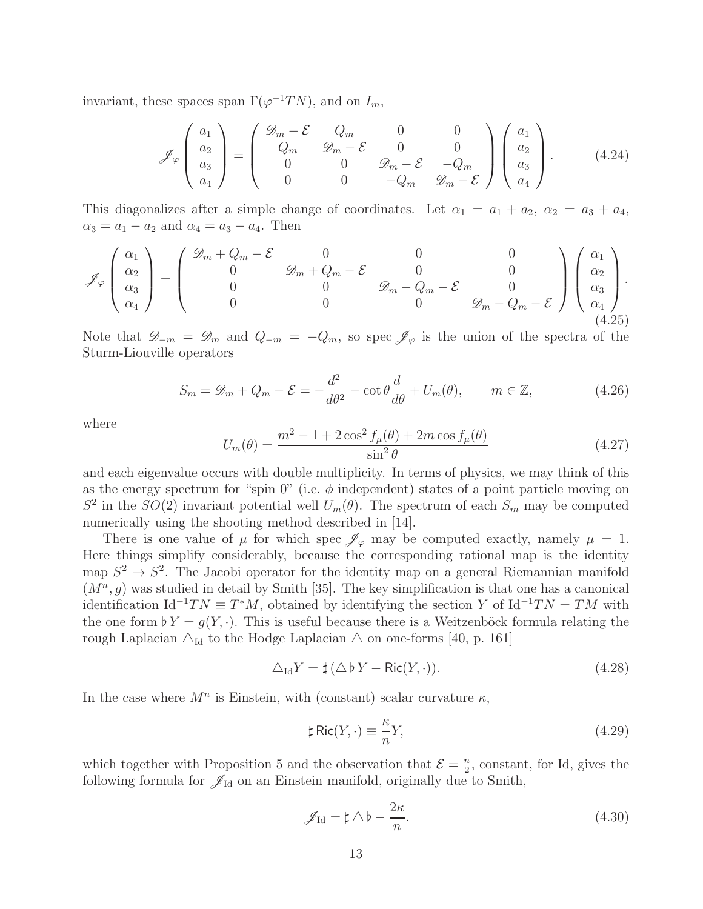invariant, these spaces span  $\Gamma(\varphi^{-1}TN)$ , and on  $I_m$ ,

$$
\mathscr{J}_{\varphi}\left(\begin{array}{c} a_{1} \\ a_{2} \\ a_{3} \\ a_{4} \end{array}\right) = \left(\begin{array}{cccc} \mathscr{D}_{m} - \mathcal{E} & Q_{m} & 0 & 0 \\ Q_{m} & \mathscr{D}_{m} - \mathcal{E} & 0 & 0 \\ 0 & 0 & \mathscr{D}_{m} - \mathcal{E} & -Q_{m} \\ 0 & 0 & -Q_{m} & \mathscr{D}_{m} - \mathcal{E} \end{array}\right) \left(\begin{array}{c} a_{1} \\ a_{2} \\ a_{3} \\ a_{4} \end{array}\right). \tag{4.24}
$$

This diagonalizes after a simple change of coordinates. Let  $\alpha_1 = a_1 + a_2$ ,  $\alpha_2 = a_3 + a_4$ ,  $\alpha_3 = a_1 - a_2$  and  $\alpha_4 = a_3 - a_4$ . Then

$$
\mathscr{J}_{\varphi}\left(\begin{array}{c} \alpha_1\\ \alpha_2\\ \alpha_3\\ \alpha_4 \end{array}\right) = \left(\begin{array}{cccccc} \mathscr{D}_m + Q_m - \mathcal{E} & 0 & 0 & 0\\ 0 & \mathscr{D}_m + Q_m - \mathcal{E} & 0 & 0\\ 0 & 0 & \mathscr{D}_m - Q_m - \mathcal{E} & 0 & 0\\ 0 & 0 & 0 & \mathscr{D}_m - Q_m - \mathcal{E} \end{array}\right) \left(\begin{array}{c} \alpha_1\\ \alpha_2\\ \alpha_3\\ \alpha_4 \end{array}\right). \tag{4.25}
$$

Note that  $\mathscr{D}_{-m} = \mathscr{D}_m$  and  $Q_{-m} = -Q_m$ , so spec  $\mathscr{J}_{\varphi}$  is the union of the spectra of the Sturm-Liouville operators

$$
S_m = \mathcal{D}_m + Q_m - \mathcal{E} = -\frac{d^2}{d\theta^2} - \cot\theta \frac{d}{d\theta} + U_m(\theta), \qquad m \in \mathbb{Z},
$$
 (4.26)

where

$$
U_m(\theta) = \frac{m^2 - 1 + 2\cos^2 f_\mu(\theta) + 2m\cos f_\mu(\theta)}{\sin^2 \theta}
$$
 (4.27)

and each eigenvalue occurs with double multiplicity. In terms of physics, we may think of this as the energy spectrum for "spin 0" (i.e.  $\phi$  independent) states of a point particle moving on  $S^2$  in the  $SO(2)$  invariant potential well  $U_m(\theta)$ . The spectrum of each  $S_m$  may be computed numerically using the shooting method described in [14].

There is one value of  $\mu$  for which spec  $\mathscr{J}_{\varphi}$  may be computed exactly, namely  $\mu = 1$ . Here things simplify considerably, because the corresponding rational map is the identity map  $S^2 \to S^2$ . The Jacobi operator for the identity map on a general Riemannian manifold  $(M^n, g)$  was studied in detail by Smith [35]. The key simplification is that one has a canonical identification Id<sup>-1</sup> $TN \equiv T^*M$ , obtained by identifying the section Y of Id<sup>-1</sup> $TN = TM$  with the one form  $\nu Y = g(Y, \cdot)$ . This is useful because there is a Weitzenböck formula relating the rough Laplacian  $\Delta_{\text{Id}}$  to the Hodge Laplacian  $\Delta$  on one-forms [40, p. 161]

$$
\triangle_{\text{Id}} Y = \sharp (\triangle b \, Y - \text{Ric}(Y, \cdot)). \tag{4.28}
$$

In the case where  $M^n$  is Einstein, with (constant) scalar curvature  $\kappa$ ,

$$
\sharp \operatorname{Ric}(Y, \cdot) \equiv \frac{\kappa}{n} Y,\tag{4.29}
$$

which together with Proposition 5 and the observation that  $\mathcal{E} = \frac{n}{2}$  $\frac{n}{2}$ , constant, for Id, gives the following formula for  $\mathscr{J}_{Id}$  on an Einstein manifold, originally due to Smith,

$$
\mathscr{J}_{\text{Id}} = \sharp \triangle b - \frac{2\kappa}{n}.\tag{4.30}
$$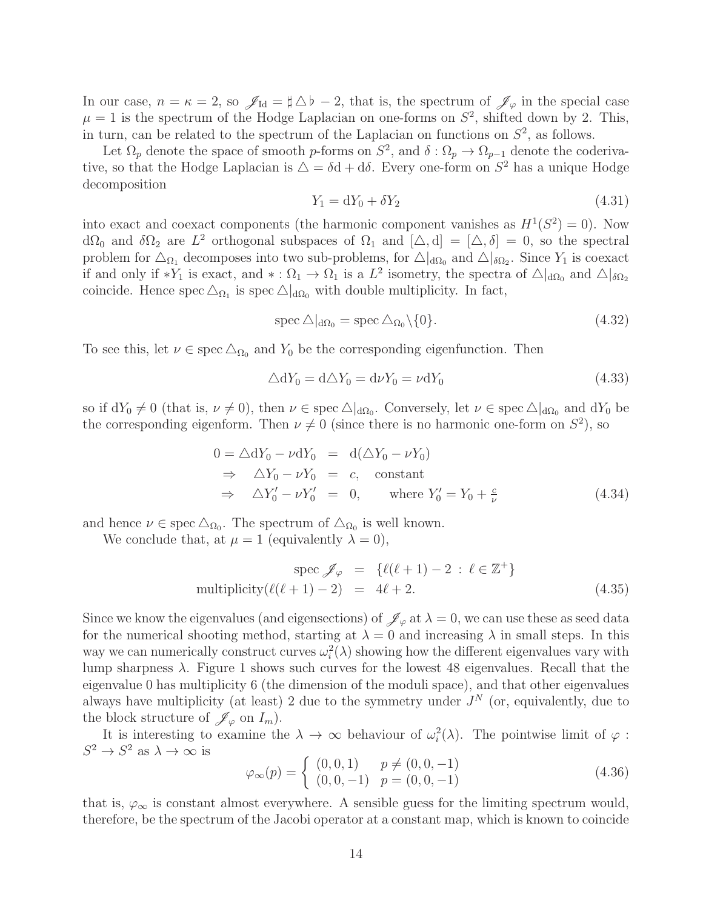In our case,  $n = \kappa = 2$ , so  $\mathscr{J}_{Id} = \sharp \Delta b - 2$ , that is, the spectrum of  $\mathscr{J}_{\varphi}$  in the special case  $\mu = 1$  is the spectrum of the Hodge Laplacian on one-forms on  $S^2$ , shifted down by 2. This, in turn, can be related to the spectrum of the Laplacian on functions on  $S^2$ , as follows.

Let  $\Omega_p$  denote the space of smooth p-forms on  $S^2$ , and  $\delta : \Omega_p \to \Omega_{p-1}$  denote the coderivative, so that the Hodge Laplacian is  $\Delta = \delta d + d\delta$ . Every one-form on  $S^2$  has a unique Hodge decomposition

$$
Y_1 = dY_0 + \delta Y_2 \tag{4.31}
$$

into exact and coexact components (the harmonic component vanishes as  $H^1(S^2) = 0$ ). Now  $d\Omega_0$  and  $\delta\Omega_2$  are  $L^2$  orthogonal subspaces of  $\Omega_1$  and  $[\Delta, d] = [\Delta, \delta] = 0$ , so the spectral problem for  $\Delta_{\Omega_1}$  decomposes into two sub-problems, for  $\Delta|_{d\Omega_0}$  and  $\Delta|_{\delta\Omega_2}$ . Since  $Y_1$  is coexact if and only if \*Y<sub>1</sub> is exact, and \*:  $\Omega_1 \to \Omega_1$  is a  $L^2$  isometry, the spectra of  $\Delta|_{d\Omega_0}$  and  $\Delta|_{\delta\Omega_2}$ coincide. Hence spec  $\Delta_{\Omega_1}$  is spec  $\Delta|_{d\Omega_0}$  with double multiplicity. In fact,

$$
\operatorname{spec} \Delta|_{d\Omega_0} = \operatorname{spec} \Delta_{\Omega_0} \setminus \{0\}. \tag{4.32}
$$

To see this, let  $\nu \in \text{spec} \,\Delta_{\Omega_0}$  and  $Y_0$  be the corresponding eigenfunction. Then

$$
\Delta dY_0 = d\Delta Y_0 = d\nu Y_0 = \nu dY_0 \tag{4.33}
$$

so if  $dY_0 \neq 0$  (that is,  $\nu \neq 0$ ), then  $\nu \in \text{spec } \triangle|_{d\Omega_0}$ . Conversely, let  $\nu \in \text{spec } \triangle|_{d\Omega_0}$  and  $dY_0$  be the corresponding eigenform. Then  $\nu \neq 0$  (since there is no harmonic one-form on  $S^2$ ), so

$$
0 = \triangle dY_0 - \nu dY_0 = d(\triangle Y_0 - \nu Y_0)
$$
  
\n
$$
\Rightarrow \triangle Y_0 - \nu Y_0 = c, \text{ constant}
$$
  
\n
$$
\Rightarrow \triangle Y'_0 - \nu Y'_0 = 0, \text{ where } Y'_0 = Y_0 + \frac{c}{\nu}
$$
 (4.34)

and hence  $\nu \in \text{spec } \Delta_{\Omega_0}$ . The spectrum of  $\Delta_{\Omega_0}$  is well known.

We conclude that, at  $\mu = 1$  (equivalently  $\lambda = 0$ ),

$$
\text{spec } \mathscr{J}_{\varphi} = \{ \ell(\ell+1) - 2 \, : \, \ell \in \mathbb{Z}^+ \}
$$
\n
$$
\text{multiplicity}(\ell(\ell+1) - 2) = 4\ell + 2. \tag{4.35}
$$

Since we know the eigenvalues (and eigensections) of  $\mathscr{J}_{\varphi}$  at  $\lambda = 0$ , we can use these as seed data for the numerical shooting method, starting at  $\lambda = 0$  and increasing  $\lambda$  in small steps. In this way we can numerically construct curves  $\omega_i^2(\lambda)$  showing how the different eigenvalues vary with lump sharpness  $\lambda$ . Figure 1 shows such curves for the lowest 48 eigenvalues. Recall that the eigenvalue 0 has multiplicity 6 (the dimension of the moduli space), and that other eigenvalues always have multiplicity (at least) 2 due to the symmetry under  $J<sup>N</sup>$  (or, equivalently, due to the block structure of  $\mathscr{J}_{\varphi}$  on  $I_m$ ).

It is interesting to examine the  $\lambda \to \infty$  behaviour of  $\omega_i^2(\lambda)$ . The pointwise limit of  $\varphi$ :  $S^2 \to S^2$  as  $\lambda \to \infty$  is

$$
\varphi_{\infty}(p) = \begin{cases} (0,0,1) & p \neq (0,0,-1) \\ (0,0,-1) & p = (0,0,-1) \end{cases}
$$
(4.36)

that is,  $\varphi_{\infty}$  is constant almost everywhere. A sensible guess for the limiting spectrum would, therefore, be the spectrum of the Jacobi operator at a constant map, which is known to coincide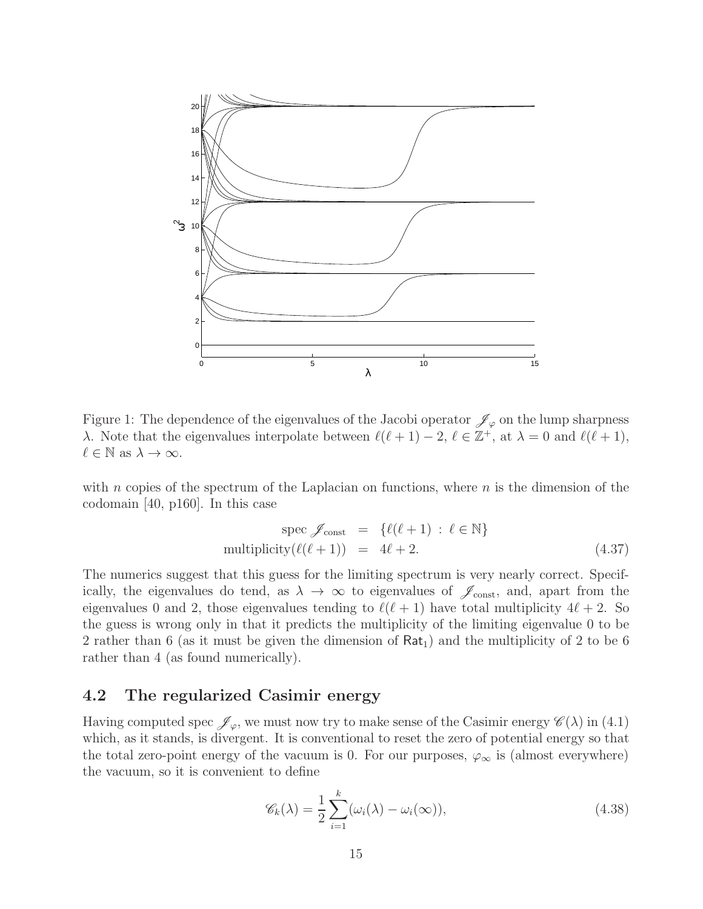

Figure 1: The dependence of the eigenvalues of the Jacobi operator  $\mathscr{J}_{\varphi}$  on the lump sharpness λ. Note that the eigenvalues interpolate between  $\ell(\ell+1) - 2$ ,  $\ell \in \mathbb{Z}^+$ , at λ = 0 and  $\ell(\ell+1)$ ,  $\ell \in \mathbb{N}$  as  $\lambda \to \infty$ .

with n copies of the spectrum of the Laplacian on functions, where  $n$  is the dimension of the codomain [40, p160]. In this case

$$
spec \mathcal{J}_{const} = \{ \ell(\ell+1) : \ell \in \mathbb{N} \}
$$
  
multiplicity $(\ell(\ell+1)) = 4\ell+2.$  (4.37)

The numerics suggest that this guess for the limiting spectrum is very nearly correct. Specifically, the eigenvalues do tend, as  $\lambda \to \infty$  to eigenvalues of  $\mathscr{J}_{\text{const}}$ , and, apart from the eigenvalues 0 and 2, those eigenvalues tending to  $\ell(\ell+1)$  have total multiplicity  $4\ell+2$ . So the guess is wrong only in that it predicts the multiplicity of the limiting eigenvalue 0 to be 2 rather than 6 (as it must be given the dimension of  $\text{Rat}_1$ ) and the multiplicity of 2 to be 6 rather than 4 (as found numerically).

#### 4.2 The regularized Casimir energy

Having computed spec  $\mathscr{J}_{\varphi}$ , we must now try to make sense of the Casimir energy  $\mathscr{C}(\lambda)$  in (4.1) which, as it stands, is divergent. It is conventional to reset the zero of potential energy so that the total zero-point energy of the vacuum is 0. For our purposes,  $\varphi_{\infty}$  is (almost everywhere) the vacuum, so it is convenient to define

$$
\mathscr{C}_k(\lambda) = \frac{1}{2} \sum_{i=1}^k (\omega_i(\lambda) - \omega_i(\infty)),
$$
\n(4.38)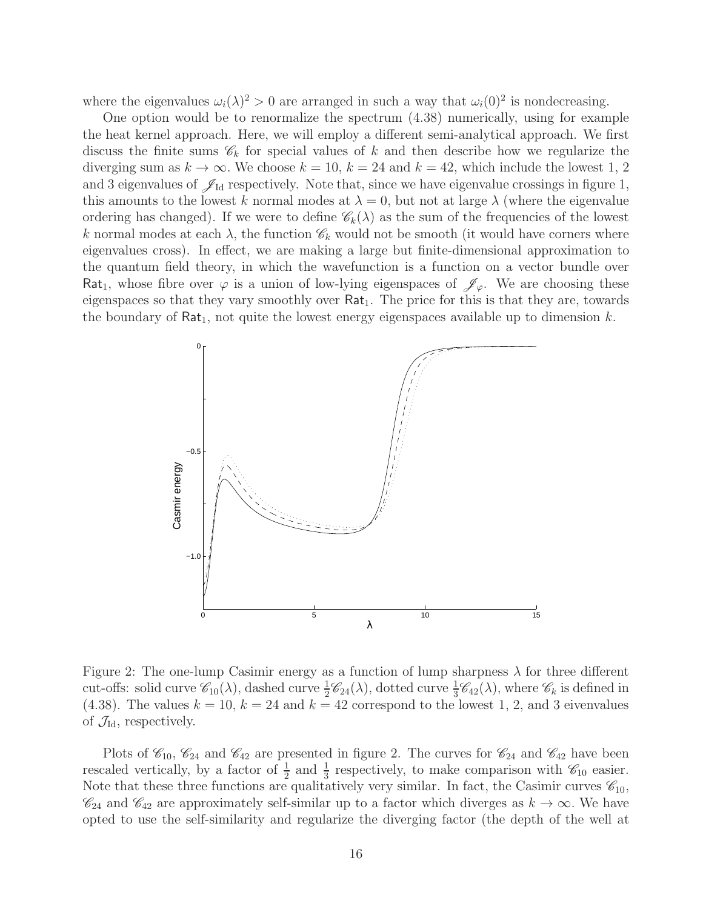where the eigenvalues  $\omega_i(\lambda)^2 > 0$  are arranged in such a way that  $\omega_i(0)^2$  is nondecreasing.

One option would be to renormalize the spectrum (4.38) numerically, using for example the heat kernel approach. Here, we will employ a different semi-analytical approach. We first discuss the finite sums  $\mathscr{C}_k$  for special values of k and then describe how we regularize the diverging sum as  $k \to \infty$ . We choose  $k = 10$ ,  $k = 24$  and  $k = 42$ , which include the lowest 1, 2 and 3 eigenvalues of  $\mathscr{J}_{Id}$  respectively. Note that, since we have eigenvalue crossings in figure 1, this amounts to the lowest k normal modes at  $\lambda = 0$ , but not at large  $\lambda$  (where the eigenvalue ordering has changed). If we were to define  $\mathscr{C}_k(\lambda)$  as the sum of the frequencies of the lowest k normal modes at each  $\lambda$ , the function  $\mathscr{C}_k$  would not be smooth (it would have corners where eigenvalues cross). In effect, we are making a large but finite-dimensional approximation to the quantum field theory, in which the wavefunction is a function on a vector bundle over Rat<sub>1</sub>, whose fibre over  $\varphi$  is a union of low-lying eigenspaces of  $\mathscr{J}_{\varphi}$ . We are choosing these eigenspaces so that they vary smoothly over  $\text{Rat}_1$ . The price for this is that they are, towards the boundary of  $\text{Rat}_1$ , not quite the lowest energy eigenspaces available up to dimension k.



Figure 2: The one-lump Casimir energy as a function of lump sharpness  $\lambda$  for three different cut-offs: solid curve  $\mathcal{C}_{10}(\lambda)$ , dashed curve  $\frac{1}{2}\mathcal{C}_{24}(\lambda)$ , dotted curve  $\frac{1}{3}\mathcal{C}_{42}(\lambda)$ , where  $\mathcal{C}_k$  is defined in (4.38). The values  $k = 10$ ,  $k = 24$  and  $k = 42$  correspond to the lowest 1, 2, and 3 eivenvalues of  $\mathcal{J}_{\text{Id}}$ , respectively.

Plots of  $\mathcal{C}_{10}$ ,  $\mathcal{C}_{24}$  and  $\mathcal{C}_{42}$  are presented in figure 2. The curves for  $\mathcal{C}_{24}$  and  $\mathcal{C}_{42}$  have been rescaled vertically, by a factor of  $\frac{1}{2}$  and  $\frac{1}{3}$  respectively, to make comparison with  $\mathscr{C}_{10}$  easier. Note that these three functions are qualitatively very similar. In fact, the Casimir curves  $\mathscr{C}_{10}$ ,  $\mathscr{C}_{24}$  and  $\mathscr{C}_{42}$  are approximately self-similar up to a factor which diverges as  $k \to \infty$ . We have opted to use the self-similarity and regularize the diverging factor (the depth of the well at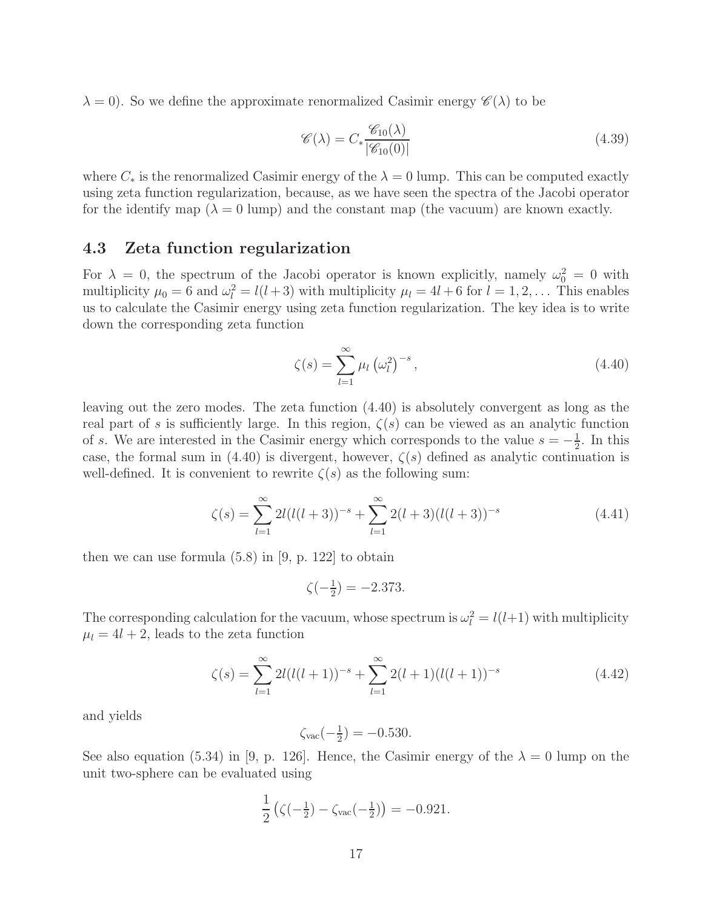$\lambda = 0$ . So we define the approximate renormalized Casimir energy  $\mathscr{C}(\lambda)$  to be

$$
\mathscr{C}(\lambda) = C_* \frac{\mathscr{C}_{10}(\lambda)}{|\mathscr{C}_{10}(0)|}
$$
(4.39)

where  $C_*$  is the renormalized Casimir energy of the  $\lambda = 0$  lump. This can be computed exactly using zeta function regularization, because, as we have seen the spectra of the Jacobi operator for the identify map  $(\lambda = 0 \text{ lump})$  and the constant map (the vacuum) are known exactly.

#### 4.3 Zeta function regularization

For  $\lambda = 0$ , the spectrum of the Jacobi operator is known explicitly, namely  $\omega_0^2 = 0$  with multiplicity  $\mu_0 = 6$  and  $\omega_l^2 = l(l+3)$  with multiplicity  $\mu_l = 4l + 6$  for  $l = 1, 2, \dots$  This enables us to calculate the Casimir energy using zeta function regularization. The key idea is to write down the corresponding zeta function

$$
\zeta(s) = \sum_{l=1}^{\infty} \mu_l \left(\omega_l^2\right)^{-s},\tag{4.40}
$$

leaving out the zero modes. The zeta function (4.40) is absolutely convergent as long as the real part of s is sufficiently large. In this region,  $\zeta(s)$  can be viewed as an analytic function of s. We are interested in the Casimir energy which corresponds to the value  $s = -\frac{1}{2}$  $\frac{1}{2}$ . In this case, the formal sum in (4.40) is divergent, however,  $\zeta(s)$  defined as analytic continuation is well-defined. It is convenient to rewrite  $\zeta(s)$  as the following sum:

$$
\zeta(s) = \sum_{l=1}^{\infty} 2l(l(l+3))^{-s} + \sum_{l=1}^{\infty} 2(l+3)(l(l+3))^{-s}
$$
\n(4.41)

then we can use formula  $(5.8)$  in [9, p. 122] to obtain

$$
\zeta(-\frac{1}{2}) = -2.373.
$$

The corresponding calculation for the vacuum, whose spectrum is  $\omega_l^2 = l(l+1)$  with multiplicity  $\mu_l = 4l + 2$ , leads to the zeta function

$$
\zeta(s) = \sum_{l=1}^{\infty} 2l(l(l+1))^{-s} + \sum_{l=1}^{\infty} 2(l+1)(l(l+1))^{-s}
$$
\n(4.42)

and yields

$$
\zeta_{\text{vac}}(-\frac{1}{2}) = -0.530.
$$

See also equation (5.34) in [9, p. 126]. Hence, the Casimir energy of the  $\lambda = 0$  lump on the unit two-sphere can be evaluated using

$$
\frac{1}{2} \left( \zeta(-\frac{1}{2}) - \zeta_{\text{vac}}(-\frac{1}{2}) \right) = -0.921.
$$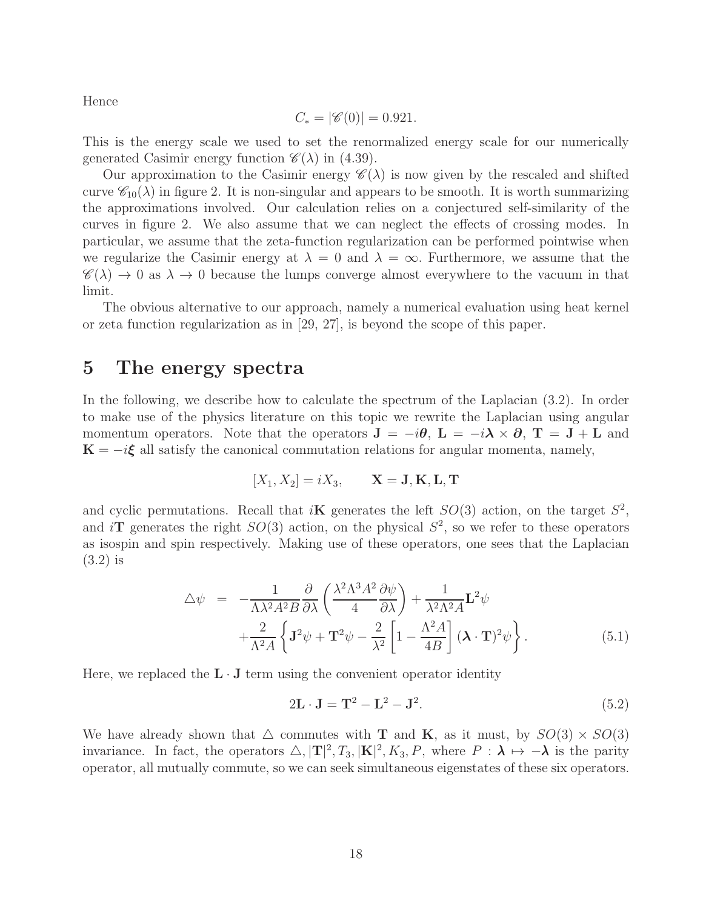Hence

$$
C_* = |\mathscr{C}(0)| = 0.921.
$$

This is the energy scale we used to set the renormalized energy scale for our numerically generated Casimir energy function  $\mathscr{C}(\lambda)$  in (4.39).

Our approximation to the Casimir energy  $\mathscr{C}(\lambda)$  is now given by the rescaled and shifted curve  $\mathscr{C}_{10}(\lambda)$  in figure 2. It is non-singular and appears to be smooth. It is worth summarizing the approximations involved. Our calculation relies on a conjectured self-similarity of the curves in figure 2. We also assume that we can neglect the effects of crossing modes. In particular, we assume that the zeta-function regularization can be performed pointwise when we regularize the Casimir energy at  $\lambda = 0$  and  $\lambda = \infty$ . Furthermore, we assume that the  $\mathscr{C}(\lambda) \to 0$  as  $\lambda \to 0$  because the lumps converge almost everywhere to the vacuum in that limit.

The obvious alternative to our approach, namely a numerical evaluation using heat kernel or zeta function regularization as in [29, 27], is beyond the scope of this paper.

#### 5 The energy spectra

In the following, we describe how to calculate the spectrum of the Laplacian (3.2). In order to make use of the physics literature on this topic we rewrite the Laplacian using angular momentum operators. Note that the operators  $J = -i\theta$ ,  $L = -i\lambda \times \partial$ ,  $T = J + L$  and  $\mathbf{K} = -i\boldsymbol{\xi}$  all satisfy the canonical commutation relations for angular momenta, namely,

$$
[X_1, X_2] = iX_3, \qquad \mathbf{X} = \mathbf{J}, \mathbf{K}, \mathbf{L}, \mathbf{T}
$$

and cyclic permutations. Recall that  $i\mathbf{K}$  generates the left  $SO(3)$  action, on the target  $S^2$ , and iT generates the right  $SO(3)$  action, on the physical  $S^2$ , so we refer to these operators as isospin and spin respectively. Making use of these operators, one sees that the Laplacian (3.2) is

$$
\Delta \psi = -\frac{1}{\Lambda \lambda^2 A^2 B} \frac{\partial}{\partial \lambda} \left( \frac{\lambda^2 \Lambda^3 A^2}{4} \frac{\partial \psi}{\partial \lambda} \right) + \frac{1}{\lambda^2 \Lambda^2 A} \mathbf{L}^2 \psi + \frac{2}{\Lambda^2 A} \left\{ \mathbf{J}^2 \psi + \mathbf{T}^2 \psi - \frac{2}{\lambda^2} \left[ 1 - \frac{\Lambda^2 A}{4B} \right] (\mathbf{\lambda} \cdot \mathbf{T})^2 \psi \right\}.
$$
 (5.1)

Here, we replaced the  $L \cdot J$  term using the convenient operator identity

$$
2\mathbf{L} \cdot \mathbf{J} = \mathbf{T}^2 - \mathbf{L}^2 - \mathbf{J}^2. \tag{5.2}
$$

We have already shown that  $\triangle$  commutes with **T** and **K**, as it must, by  $SO(3) \times SO(3)$ invariance. In fact, the operators  $\triangle$ ,  $|\mathbf{T}|^2$ ,  $T_3$ ,  $|\mathbf{K}|^2$ ,  $K_3$ , P, where  $P : \lambda \mapsto -\lambda$  is the parity operator, all mutually commute, so we can seek simultaneous eigenstates of these six operators.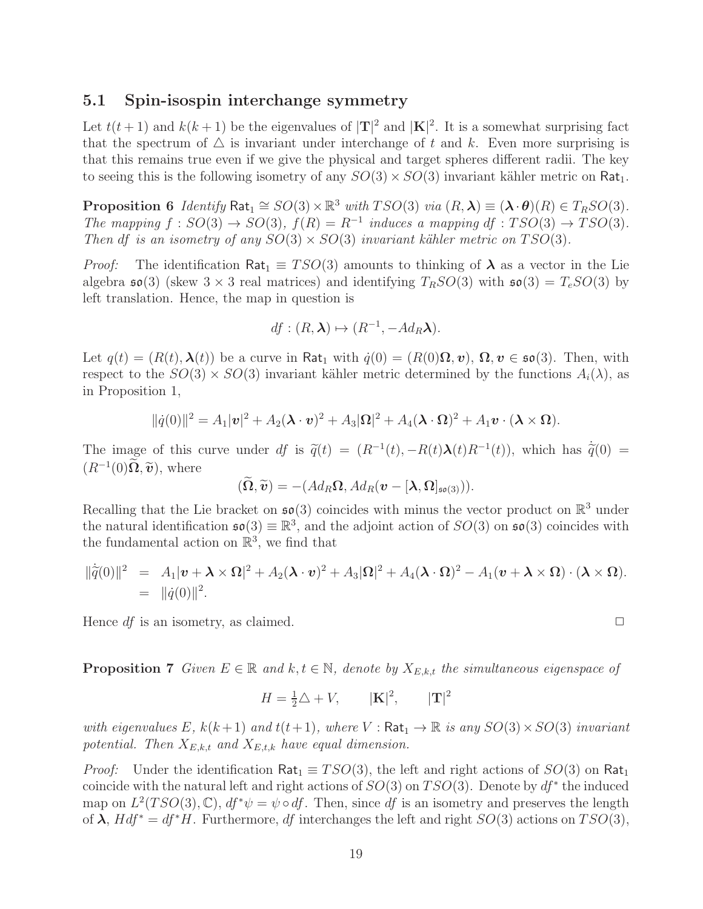#### 5.1 Spin-isospin interchange symmetry

Let  $t(t+1)$  and  $k(k+1)$  be the eigenvalues of  $|\mathbf{T}|^2$  and  $|\mathbf{K}|^2$ . It is a somewhat surprising fact that the spectrum of  $\triangle$  is invariant under interchange of t and k. Even more surprising is that this remains true even if we give the physical and target spheres different radii. The key to seeing this is the following isometry of any  $SO(3) \times SO(3)$  invariant kähler metric on Rat<sub>1</sub>.

**Proposition 6** *Identify*  $\textsf{Rat}_1 \cong SO(3) \times \mathbb{R}^3$  *with*  $TSO(3)$  *via*  $(R, \lambda) \equiv (\lambda \cdot \theta)(R) \in T_RSO(3)$ *. The mapping*  $f : SO(3) \rightarrow SO(3)$ ,  $f(R) = R^{-1}$  *induces a mapping df* :  $TSO(3) \rightarrow TSO(3)$ *. Then* df *is an isometry of any*  $SO(3) \times SO(3)$  *invariant kähler metric on*  $TSO(3)$ *.* 

*Proof:* The identification Rat<sub>1</sub>  $\equiv TSO(3)$  amounts to thinking of  $\lambda$  as a vector in the Lie algebra  $\mathfrak{so}(3)$  (skew  $3 \times 3$  real matrices) and identifying  $T_RSO(3)$  with  $\mathfrak{so}(3) = T_eSO(3)$  by left translation. Hence, the map in question is

$$
df: (R, \lambda) \mapsto (R^{-1}, -Ad_R\lambda).
$$

Let  $q(t) = (R(t), \lambda(t))$  be a curve in Rat<sub>1</sub> with  $\dot{q}(0) = (R(0)\Omega, v)$ ,  $\Omega, v \in \mathfrak{so}(3)$ . Then, with respect to the  $SO(3) \times SO(3)$  invariant kähler metric determined by the functions  $A_i(\lambda)$ , as in Proposition 1,

$$
\|\dot{q}(0)\|^2 = A_1 |\mathbf{v}|^2 + A_2 (\mathbf{\lambda} \cdot \mathbf{v})^2 + A_3 |\mathbf{\Omega}|^2 + A_4 (\mathbf{\lambda} \cdot \mathbf{\Omega})^2 + A_1 \mathbf{v} \cdot (\mathbf{\lambda} \times \mathbf{\Omega}).
$$

The image of this curve under  $df$  is  $\tilde{q}(t) = (R^{-1}(t), -R(t)\lambda(t)R^{-1}(t))$ , which has  $\dot{\tilde{q}}(0) = (R^{-1}(t), -R(t)\lambda(t)R^{-1}(t))$  $(R^{-1}(0)\Omega, \tilde{\boldsymbol{v}})$ , where

$$
(\widetilde{\Omega},\widetilde{\boldsymbol{v}})=-(Ad_R\Omega,Ad_R(\boldsymbol{v}-[\boldsymbol{\lambda},\Omega]_{\mathfrak{so}(3)})).
$$

Recalling that the Lie bracket on  $\mathfrak{so}(3)$  coincides with minus the vector product on  $\mathbb{R}^3$  under the natural identification  $\mathfrak{so}(3) \equiv \mathbb{R}^3$ , and the adjoint action of  $SO(3)$  on  $\mathfrak{so}(3)$  coincides with the fundamental action on  $\mathbb{R}^3$ , we find that

$$
\|\dot{\tilde{q}}(0)\|^2 = A_1 |\boldsymbol{v} + \boldsymbol{\lambda} \times \boldsymbol{\Omega}|^2 + A_2 (\boldsymbol{\lambda} \cdot \boldsymbol{v})^2 + A_3 |\boldsymbol{\Omega}|^2 + A_4 (\boldsymbol{\lambda} \cdot \boldsymbol{\Omega})^2 - A_1 (\boldsymbol{v} + \boldsymbol{\lambda} \times \boldsymbol{\Omega}) \cdot (\boldsymbol{\lambda} \times \boldsymbol{\Omega}).
$$
  
=  $||\dot{q}(0)||^2$ .

Hence  $df$  is an isometry, as claimed.  $\Box$ 

**Proposition 7** *Given*  $E \in \mathbb{R}$  *and*  $k, t \in \mathbb{N}$ *, denote by*  $X_{E,k,t}$  *the simultaneous eigenspace of* 

$$
H = \frac{1}{2}\triangle + V, \qquad |\mathbf{K}|^2, \qquad |\mathbf{T}|^2
$$

*with eigenvalues* E,  $k(k+1)$  *and*  $t(t+1)$ *, where*  $V : \text{Rat}_1 \to \mathbb{R}$  *is any*  $SO(3) \times SO(3)$  *invariant potential. Then*  $X_{E,k,t}$  *and*  $X_{E,t,k}$  *have equal dimension.* 

*Proof:* Under the identification Rat<sub>1</sub>  $\equiv TSO(3)$ , the left and right actions of  $SO(3)$  on Rat<sub>1</sub> coincide with the natural left and right actions of  $SO(3)$  on  $TSO(3)$ . Denote by  $df^*$  the induced map on  $L^2(TSO(3),\mathbb{C}), df^*\psi = \psi \circ df$ . Then, since df is an isometry and preserves the length of  $\lambda$ ,  $Hdf^* = df^*H$ . Furthermore, df interchanges the left and right  $SO(3)$  actions on  $TSO(3)$ ,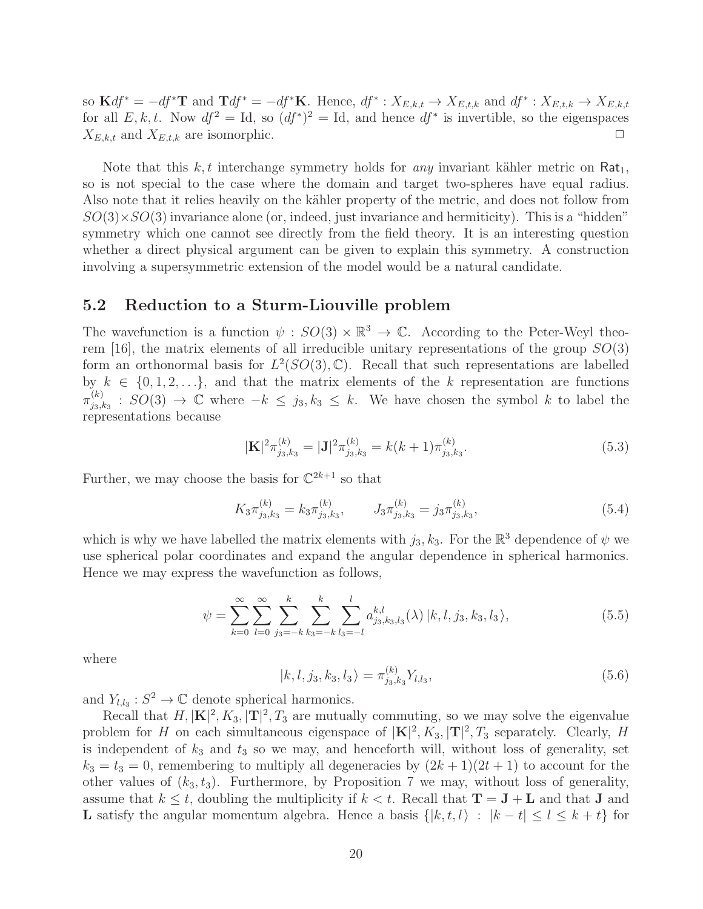so  $\mathbf{K} df^* = -df^* \mathbf{T}$  and  $\mathbf{T} df^* = -df^* \mathbf{K}$ . Hence,  $df^* : X_{E,k,t} \to X_{E,t,k}$  and  $df^* : X_{E,t,k} \to X_{E,k,t}$ for all  $E, k, t$ . Now  $df^2 = Id$ , so  $(df^*)^2 = Id$ , and hence  $df^*$  is invertible, so the eigenspaces  $X_{E,k,t}$  and  $X_{E,t,k}$  are isomorphic.

Note that this  $k, t$  interchange symmetry holds for *any* invariant kähler metric on  $\text{Rat}_1$ , so is not special to the case where the domain and target two-spheres have equal radius. Also note that it relies heavily on the kähler property of the metric, and does not follow from  $SO(3)\times SO(3)$  invariance alone (or, indeed, just invariance and hermiticity). This is a "hidden" symmetry which one cannot see directly from the field theory. It is an interesting question whether a direct physical argument can be given to explain this symmetry. A construction involving a supersymmetric extension of the model would be a natural candidate.

#### 5.2 Reduction to a Sturm-Liouville problem

The wavefunction is a function  $\psi : SO(3) \times \mathbb{R}^3 \to \mathbb{C}$ . According to the Peter-Weyl theorem [16], the matrix elements of all irreducible unitary representations of the group  $SO(3)$ form an orthonormal basis for  $L^2(SO(3), \mathbb{C})$ . Recall that such representations are labelled by  $k \in \{0, 1, 2, \ldots\}$ , and that the matrix elements of the k representation are functions  $\pi_{i_2,j}^{(k)}$  $j_{3,k_3}^{(k)}$  :  $SO(3) \rightarrow \mathbb{C}$  where  $-k \leq j_3, k_3 \leq k$ . We have chosen the symbol k to label the representations because

$$
|\mathbf{K}|^2 \pi_{j_3, k_3}^{(k)} = |\mathbf{J}|^2 \pi_{j_3, k_3}^{(k)} = k(k+1) \pi_{j_3, k_3}^{(k)}.
$$
\n(5.3)

Further, we may choose the basis for  $\mathbb{C}^{2k+1}$  so that

$$
K_3 \pi_{j_3, k_3}^{(k)} = k_3 \pi_{j_3, k_3}^{(k)}, \qquad J_3 \pi_{j_3, k_3}^{(k)} = j_3 \pi_{j_3, k_3}^{(k)}, \tag{5.4}
$$

which is why we have labelled the matrix elements with  $j_3, k_3$ . For the  $\mathbb{R}^3$  dependence of  $\psi$  we use spherical polar coordinates and expand the angular dependence in spherical harmonics. Hence we may express the wavefunction as follows,

$$
\psi = \sum_{k=0}^{\infty} \sum_{l=0}^{\infty} \sum_{j_3=-k}^{k} \sum_{k_3=-k}^{k} \sum_{l_3=-l}^{l} a_{j_3,k_3,l_3}^{k,l}(\lambda) |k, l, j_3, k_3, l_3\rangle, \tag{5.5}
$$

where

$$
|k, l, j_3, k_3, l_3\rangle = \pi_{j_3, k_3}^{(k)} Y_{l, l_3},
$$
\n(5.6)

and  $Y_{l,l_3}: S^2 \to \mathbb{C}$  denote spherical harmonics.

Recall that  $H, |\mathbf{K}|^2, K_3, |\mathbf{T}|^2, T_3$  are mutually commuting, so we may solve the eigenvalue problem for H on each simultaneous eigenspace of  $|\mathbf{K}|^2$ ,  $K_3$ ,  $|\mathbf{T}|^2$ ,  $T_3$  separately. Clearly, H is independent of  $k_3$  and  $t_3$  so we may, and henceforth will, without loss of generality, set  $k_3 = t_3 = 0$ , remembering to multiply all degeneracies by  $(2k+1)(2t+1)$  to account for the other values of  $(k_3, t_3)$ . Furthermore, by Proposition 7 we may, without loss of generality, assume that  $k \leq t$ , doubling the multiplicity if  $k < t$ . Recall that  $T = J + L$  and that J and L satisfy the angular momentum algebra. Hence a basis  $\{|k, t, l\rangle : |k - t| \leq l \leq k + t\}$  for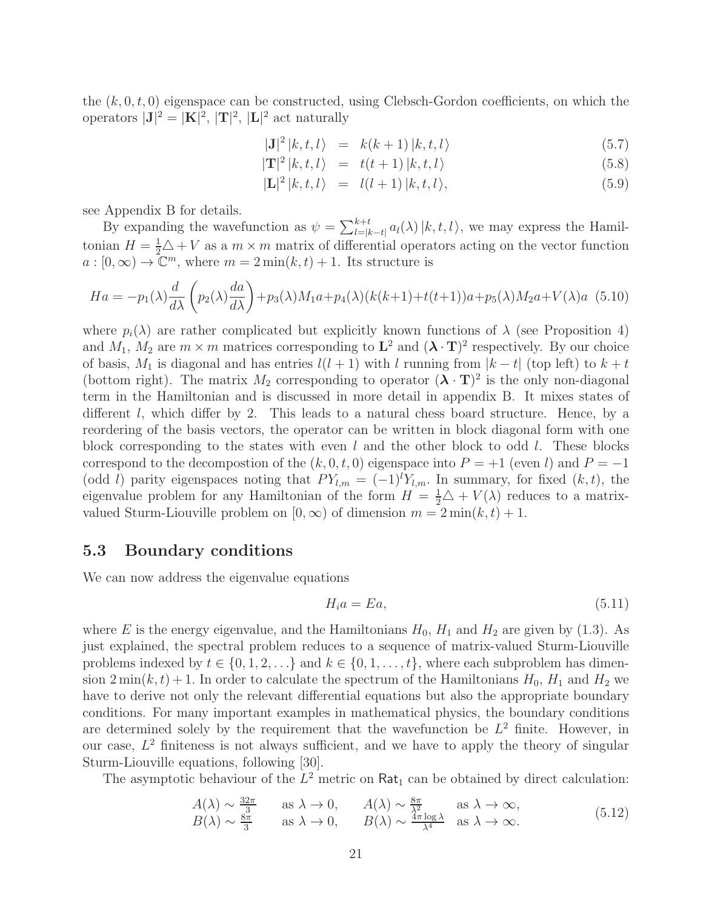the  $(k, 0, t, 0)$  eigenspace can be constructed, using Clebsch-Gordon coefficients, on which the operators  $|\mathbf{J}|^2 = |\mathbf{K}|^2$ ,  $|\mathbf{T}|^2$ ,  $|\mathbf{L}|^2$  act naturally

$$
|\mathbf{J}|^2 |k, t, l\rangle = k(k+1) |k, t, l\rangle \tag{5.7}
$$

$$
|\mathbf{T}|^2 |k, t, l\rangle = t(t+1) |k, t, l\rangle \tag{5.8}
$$

$$
|\mathbf{L}|^2 |k, t, l\rangle = l(l+1) |k, t, l\rangle, \qquad (5.9)
$$

see Appendix B for details.

By expanding the wavefunction as  $\psi = \sum_{l=|k-t|}^{k+t} a_l(\lambda) |k, t, l\rangle$ , we may express the Hamiltonian  $H = \frac{1}{2}\triangle + V$  as a  $m \times m$  matrix of differential operators acting on the vector function  $a: [0, \infty) \to \mathbb{C}^m$ , where  $m = 2 \min(k, t) + 1$ . Its structure is

$$
Ha = -p_1(\lambda) \frac{d}{d\lambda} \left( p_2(\lambda) \frac{da}{d\lambda} \right) + p_3(\lambda)M_1a + p_4(\lambda)(k(k+1) + t(t+1))a + p_5(\lambda)M_2a + V(\lambda)a \tag{5.10}
$$

where  $p_i(\lambda)$  are rather complicated but explicitly known functions of  $\lambda$  (see Proposition 4) and  $M_1$ ,  $M_2$  are  $m \times m$  matrices corresponding to  $\mathbf{L}^2$  and  $(\mathbf{\lambda} \cdot \mathbf{T})^2$  respectively. By our choice of basis,  $M_1$  is diagonal and has entries  $l(l + 1)$  with l running from  $|k - t|$  (top left) to  $k + t$ (bottom right). The matrix  $M_2$  corresponding to operator  $({\bf \lambda} \cdot {\bf T})^2$  is the only non-diagonal term in the Hamiltonian and is discussed in more detail in appendix B. It mixes states of different l, which differ by 2. This leads to a natural chess board structure. Hence, by a reordering of the basis vectors, the operator can be written in block diagonal form with one block corresponding to the states with even  $l$  and the other block to odd  $l$ . These blocks correspond to the decompostion of the  $(k, 0, t, 0)$  eigenspace into  $P = +1$  (even l) and  $P = -1$ (odd l) parity eigenspaces noting that  $PY_{l,m} = (-1)^l Y_{l,m}$ . In summary, for fixed  $(k, t)$ , the eigenvalue problem for any Hamiltonian of the form  $H = \frac{1}{2}\Delta + V(\lambda)$  reduces to a matrixvalued Sturm-Liouville problem on  $[0, \infty)$  of dimension  $m = 2 \min(k, t) + 1$ .

#### 5.3 Boundary conditions

We can now address the eigenvalue equations

$$
H_i a = E a,\t\t(5.11)
$$

where E is the energy eigenvalue, and the Hamiltonians  $H_0$ ,  $H_1$  and  $H_2$  are given by (1.3). As just explained, the spectral problem reduces to a sequence of matrix-valued Sturm-Liouville problems indexed by  $t \in \{0, 1, 2, \ldots\}$  and  $k \in \{0, 1, \ldots, t\}$ , where each subproblem has dimension  $2 \min(k, t) + 1$ . In order to calculate the spectrum of the Hamiltonians  $H_0$ ,  $H_1$  and  $H_2$  we have to derive not only the relevant differential equations but also the appropriate boundary conditions. For many important examples in mathematical physics, the boundary conditions are determined solely by the requirement that the wavefunction be  $L^2$  finite. However, in our case,  $L^2$  finiteness is not always sufficient, and we have to apply the theory of singular Sturm-Liouville equations, following [30].

The asymptotic behaviour of the  $L^2$  metric on  $\text{Rat}_1$  can be obtained by direct calculation:

$$
A(\lambda) \sim \frac{32\pi}{3}
$$
 as  $\lambda \to 0$ ,  $A(\lambda) \sim \frac{8\pi}{\lambda^2}$  as  $\lambda \to \infty$ ,  
\n $B(\lambda) \sim \frac{8\pi}{3}$  as  $\lambda \to 0$ ,  $B(\lambda) \sim \frac{4\pi \log \lambda}{\lambda^4}$  as  $\lambda \to \infty$ . (5.12)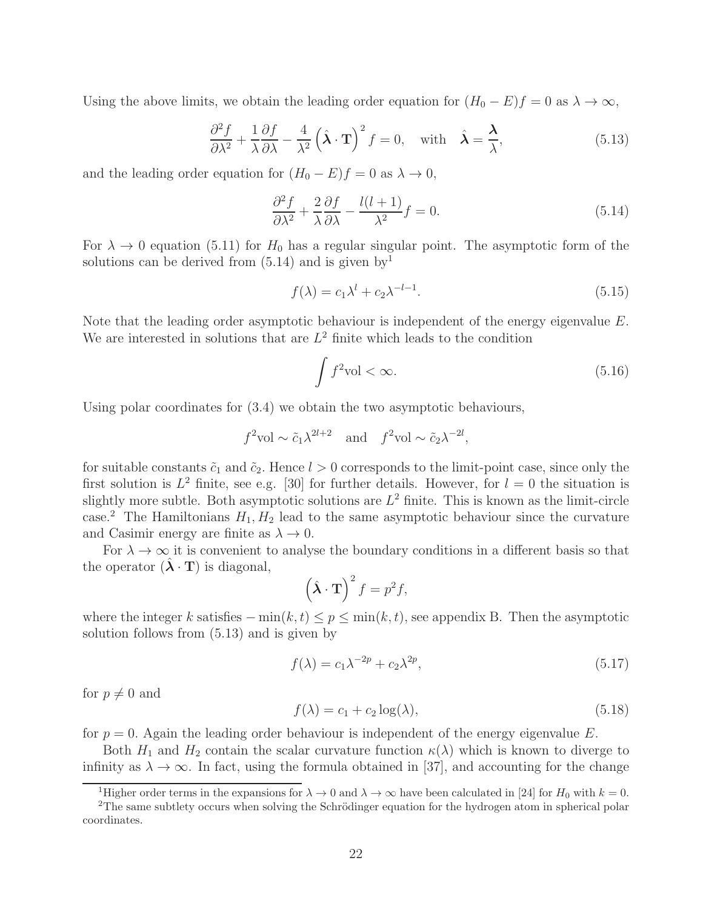Using the above limits, we obtain the leading order equation for  $(H_0 - E)f = 0$  as  $\lambda \to \infty$ ,

$$
\frac{\partial^2 f}{\partial \lambda^2} + \frac{1}{\lambda} \frac{\partial f}{\partial \lambda} - \frac{4}{\lambda^2} \left( \hat{\lambda} \cdot \mathbf{T} \right)^2 f = 0, \text{ with } \hat{\lambda} = \frac{\lambda}{\lambda}, \tag{5.13}
$$

and the leading order equation for  $(H_0 - E)f = 0$  as  $\lambda \to 0$ ,

$$
\frac{\partial^2 f}{\partial \lambda^2} + \frac{2}{\lambda} \frac{\partial f}{\partial \lambda} - \frac{l(l+1)}{\lambda^2} f = 0.
$$
\n(5.14)

For  $\lambda \to 0$  equation (5.11) for  $H_0$  has a regular singular point. The asymptotic form of the solutions can be derived from  $(5.14)$  and is given by<sup>1</sup>

$$
f(\lambda) = c_1 \lambda^l + c_2 \lambda^{-l-1}.
$$
\n(5.15)

Note that the leading order asymptotic behaviour is independent of the energy eigenvalue E. We are interested in solutions that are  $L^2$  finite which leads to the condition

$$
\int f^2 \text{vol} < \infty. \tag{5.16}
$$

Using polar coordinates for (3.4) we obtain the two asymptotic behaviours,

$$
f^2
$$
vol  $\sim \tilde{c}_1 \lambda^{2l+2}$  and  $f^2$ vol  $\sim \tilde{c}_2 \lambda^{-2l}$ ,

for suitable constants  $\tilde{c}_1$  and  $\tilde{c}_2$ . Hence  $l > 0$  corresponds to the limit-point case, since only the first solution is  $L^2$  finite, see e.g. [30] for further details. However, for  $l = 0$  the situation is slightly more subtle. Both asymptotic solutions are  $L^2$  finite. This is known as the limit-circle case.<sup>2</sup> The Hamiltonians  $H_1, H_2$  lead to the same asymptotic behaviour since the curvature and Casimir energy are finite as  $\lambda \to 0$ .

For  $\lambda \to \infty$  it is convenient to analyse the boundary conditions in a different basis so that the operator  $({\hat{\lambda}} \cdot {\bf T})$  is diagonal,

$$
\left(\hat{\lambda} \cdot \mathbf{T}\right)^2 f = p^2 f,
$$

where the integer k satisfies  $-\min(k, t) \leq p \leq \min(k, t)$ , see appendix B. Then the asymptotic solution follows from (5.13) and is given by

$$
f(\lambda) = c_1 \lambda^{-2p} + c_2 \lambda^{2p},\tag{5.17}
$$

for  $p \neq 0$  and

$$
f(\lambda) = c_1 + c_2 \log(\lambda),\tag{5.18}
$$

for  $p = 0$ . Again the leading order behaviour is independent of the energy eigenvalue E.

Both  $H_1$  and  $H_2$  contain the scalar curvature function  $\kappa(\lambda)$  which is known to diverge to infinity as  $\lambda \to \infty$ . In fact, using the formula obtained in [37], and accounting for the change

<sup>&</sup>lt;sup>1</sup>Higher order terms in the expansions for  $\lambda \to 0$  and  $\lambda \to \infty$  have been calculated in [24] for  $H_0$  with  $k = 0$ .

<sup>&</sup>lt;sup>2</sup>The same subtlety occurs when solving the Schrödinger equation for the hydrogen atom in spherical polar coordinates.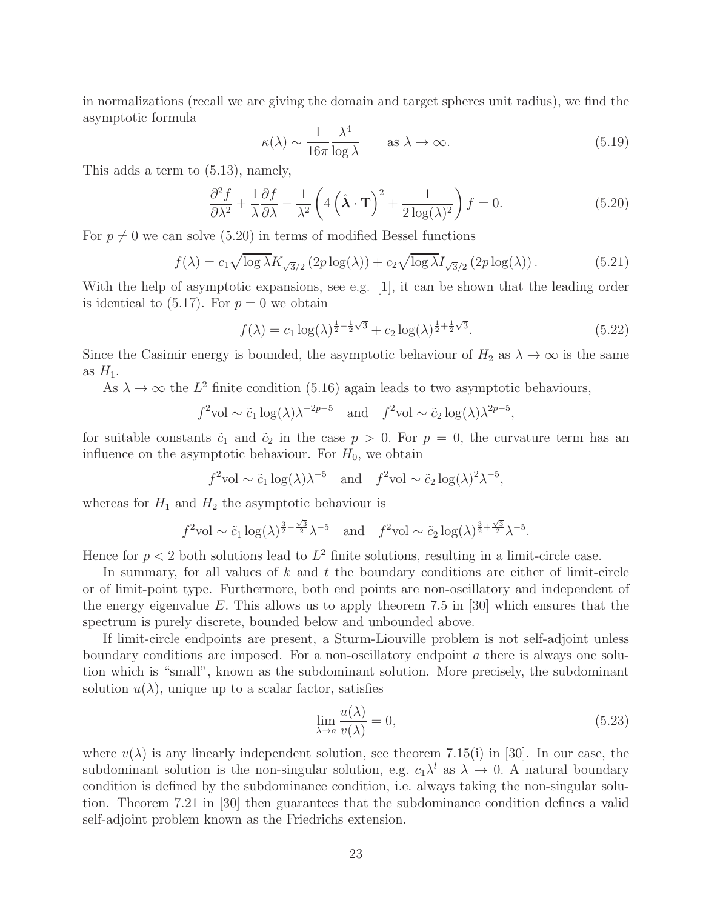in normalizations (recall we are giving the domain and target spheres unit radius), we find the asymptotic formula

$$
\kappa(\lambda) \sim \frac{1}{16\pi} \frac{\lambda^4}{\log \lambda} \qquad \text{as } \lambda \to \infty.
$$
 (5.19)

This adds a term to (5.13), namely,

$$
\frac{\partial^2 f}{\partial \lambda^2} + \frac{1}{\lambda} \frac{\partial f}{\partial \lambda} - \frac{1}{\lambda^2} \left( 4 \left( \hat{\lambda} \cdot \mathbf{T} \right)^2 + \frac{1}{2 \log(\lambda)^2} \right) f = 0. \tag{5.20}
$$

For  $p \neq 0$  we can solve (5.20) in terms of modified Bessel functions

$$
f(\lambda) = c_1 \sqrt{\log \lambda} K_{\sqrt{3}/2} \left( 2p \log(\lambda) \right) + c_2 \sqrt{\log \lambda} I_{\sqrt{3}/2} \left( 2p \log(\lambda) \right). \tag{5.21}
$$

With the help of asymptotic expansions, see e.g. [1], it can be shown that the leading order is identical to  $(5.17)$ . For  $p = 0$  we obtain

$$
f(\lambda) = c_1 \log(\lambda)^{\frac{1}{2} - \frac{1}{2}\sqrt{3}} + c_2 \log(\lambda)^{\frac{1}{2} + \frac{1}{2}\sqrt{3}}.
$$
 (5.22)

Since the Casimir energy is bounded, the asymptotic behaviour of  $H_2$  as  $\lambda \to \infty$  is the same as  $H_1$ .

As  $\lambda \to \infty$  the  $L^2$  finite condition (5.16) again leads to two asymptotic behaviours,

$$
f^2
$$
vol  $\sim \tilde{c}_1 \log(\lambda) \lambda^{-2p-5}$  and  $f^2$ vol  $\sim \tilde{c}_2 \log(\lambda) \lambda^{2p-5}$ ,

for suitable constants  $\tilde{c}_1$  and  $\tilde{c}_2$  in the case  $p > 0$ . For  $p = 0$ , the curvature term has an influence on the asymptotic behaviour. For  $H_0$ , we obtain

$$
f^2
$$
vol  $\sim \tilde{c}_1 \log(\lambda) \lambda^{-5}$  and  $f^2$ vol  $\sim \tilde{c}_2 \log(\lambda)^2 \lambda^{-5}$ ,

whereas for  $H_1$  and  $H_2$  the asymptotic behaviour is

$$
f^2 \text{vol} \sim \tilde{c}_1 \log(\lambda)^{\frac{3}{2}-\frac{\sqrt{3}}{2}} \lambda^{-5}
$$
 and  $f^2 \text{vol} \sim \tilde{c}_2 \log(\lambda)^{\frac{3}{2}+\frac{\sqrt{3}}{2}} \lambda^{-5}$ .

Hence for  $p < 2$  both solutions lead to  $L^2$  finite solutions, resulting in a limit-circle case.

In summary, for all values of  $k$  and  $t$  the boundary conditions are either of limit-circle or of limit-point type. Furthermore, both end points are non-oscillatory and independent of the energy eigenvalue E. This allows us to apply theorem 7.5 in [30] which ensures that the spectrum is purely discrete, bounded below and unbounded above.

If limit-circle endpoints are present, a Sturm-Liouville problem is not self-adjoint unless boundary conditions are imposed. For a non-oscillatory endpoint a there is always one solution which is "small", known as the subdominant solution. More precisely, the subdominant solution  $u(\lambda)$ , unique up to a scalar factor, satisfies

$$
\lim_{\lambda \to a} \frac{u(\lambda)}{v(\lambda)} = 0,
$$
\n(5.23)

where  $v(\lambda)$  is any linearly independent solution, see theorem 7.15(i) in [30]. In our case, the subdominant solution is the non-singular solution, e.g.  $c_1 \lambda^l$  as  $\lambda \to 0$ . A natural boundary condition is defined by the subdominance condition, i.e. always taking the non-singular solution. Theorem 7.21 in [30] then guarantees that the subdominance condition defines a valid self-adjoint problem known as the Friedrichs extension.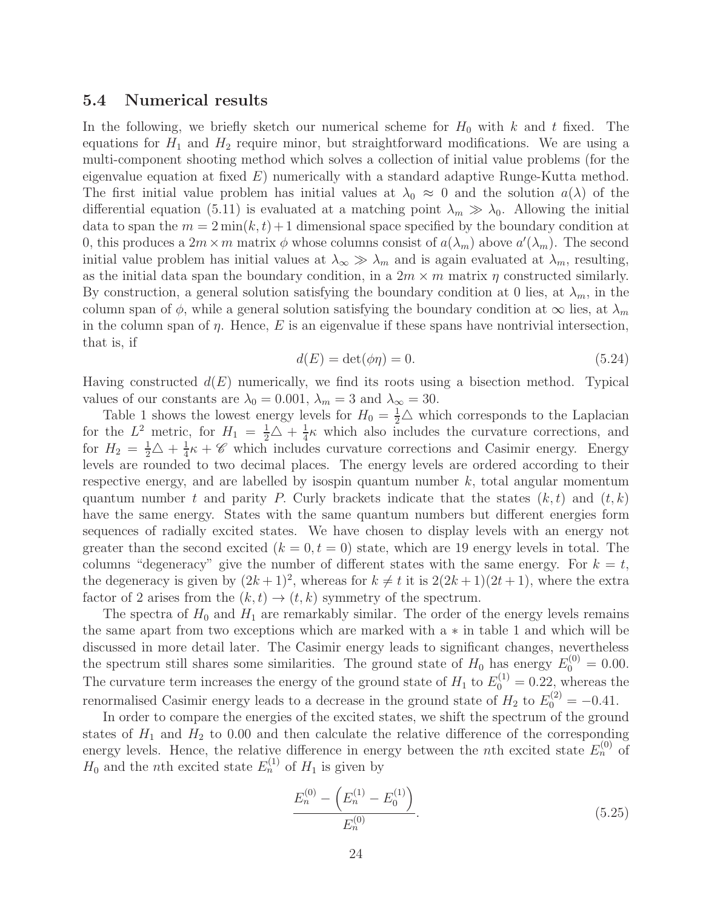#### 5.4 Numerical results

In the following, we briefly sketch our numerical scheme for  $H_0$  with k and t fixed. The equations for  $H_1$  and  $H_2$  require minor, but straightforward modifications. We are using a multi-component shooting method which solves a collection of initial value problems (for the eigenvalue equation at fixed  $E$ ) numerically with a standard adaptive Runge-Kutta method. The first initial value problem has initial values at  $\lambda_0 \approx 0$  and the solution  $a(\lambda)$  of the differential equation (5.11) is evaluated at a matching point  $\lambda_m \gg \lambda_0$ . Allowing the initial data to span the  $m = 2 \min(k, t) + 1$  dimensional space specified by the boundary condition at 0, this produces a  $2m \times m$  matrix  $\phi$  whose columns consist of  $a(\lambda_m)$  above  $a'(\lambda_m)$ . The second initial value problem has initial values at  $\lambda_{\infty} \gg \lambda_m$  and is again evaluated at  $\lambda_m$ , resulting, as the initial data span the boundary condition, in a  $2m \times m$  matrix  $\eta$  constructed similarly. By construction, a general solution satisfying the boundary condition at 0 lies, at  $\lambda_m$ , in the column span of  $\phi$ , while a general solution satisfying the boundary condition at  $\infty$  lies, at  $\lambda_m$ in the column span of  $\eta$ . Hence, E is an eigenvalue if these spans have nontrivial intersection, that is, if

$$
d(E) = \det(\phi \eta) = 0. \tag{5.24}
$$

Having constructed  $d(E)$  numerically, we find its roots using a bisection method. Typical values of our constants are  $\lambda_0 = 0.001$ ,  $\lambda_m = 3$  and  $\lambda_\infty = 30$ .

Table 1 shows the lowest energy levels for  $H_0 = \frac{1}{2}\triangle$  which corresponds to the Laplacian for the  $L^2$  metric, for  $H_1 = \frac{1}{2}\triangle + \frac{1}{4}$  $\frac{1}{4}\kappa$  which also includes the curvature corrections, and for  $H_2 = \frac{1}{2}\triangle + \frac{1}{4}$  $\frac{1}{4}\kappa + \mathscr{C}$  which includes curvature corrections and Casimir energy. Energy levels are rounded to two decimal places. The energy levels are ordered according to their respective energy, and are labelled by isospin quantum number  $k$ , total angular momentum quantum number t and parity P. Curly brackets indicate that the states  $(k, t)$  and  $(t, k)$ have the same energy. States with the same quantum numbers but different energies form sequences of radially excited states. We have chosen to display levels with an energy not greater than the second excited  $(k = 0, t = 0)$  state, which are 19 energy levels in total. The columns "degeneracy" give the number of different states with the same energy. For  $k = t$ , the degeneracy is given by  $(2k+1)^2$ , whereas for  $k \neq t$  it is  $2(2k+1)(2t+1)$ , where the extra factor of 2 arises from the  $(k, t) \rightarrow (t, k)$  symmetry of the spectrum.

The spectra of  $H_0$  and  $H_1$  are remarkably similar. The order of the energy levels remains the same apart from two exceptions which are marked with a ∗ in table 1 and which will be discussed in more detail later. The Casimir energy leads to significant changes, nevertheless the spectrum still shares some similarities. The ground state of  $H_0$  has energy  $E_0^{(0)} = 0.00$ . The curvature term increases the energy of the ground state of  $H_1$  to  $E_0^{(1)} = 0.22$ , whereas the renormalised Casimir energy leads to a decrease in the ground state of  $H_2$  to  $E_0^{(2)} = -0.41$ .

In order to compare the energies of the excited states, we shift the spectrum of the ground states of  $H_1$  and  $H_2$  to 0.00 and then calculate the relative difference of the corresponding energy levels. Hence, the relative difference in energy between the *n*th excited state  $E_n^{(0)}$  of  $H_0$  and the *n*th excited state  $E_n^{(1)}$  of  $H_1$  is given by

$$
\frac{E_n^{(0)} - \left(E_n^{(1)} - E_0^{(1)}\right)}{E_n^{(0)}}.
$$
\n(5.25)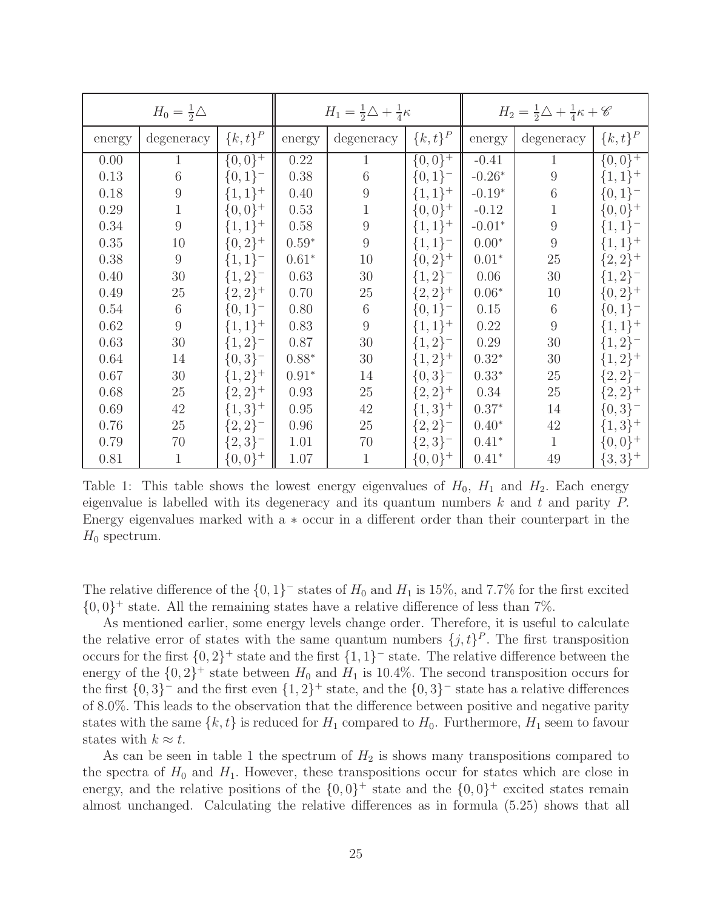|        | $H_0 = \frac{1}{2}\triangle$ |             | $H_1 = \frac{1}{2}\triangle + \frac{1}{4}\kappa$ |                  |             | $H_2 = \frac{1}{2}\triangle + \frac{1}{4}\kappa + \mathscr{C}$ |                  |             |
|--------|------------------------------|-------------|--------------------------------------------------|------------------|-------------|----------------------------------------------------------------|------------------|-------------|
| energy | degeneracy                   | ${k, t}^P$  | energy                                           | degeneracy       | ${k, t}^P$  | energy                                                         | degeneracy       | ${k, t}^P$  |
| 0.00   | $\mathbf{1}$                 | $\{0,0\}^+$ | 0.22                                             | 1                | $\{0,0\}^+$ | $-0.41$                                                        | 1                | $\{0,0\}^+$ |
| 0.13   | 6                            | ${0,1}^-$   | 0.38                                             | 6                | $\{0,1\}^-$ | $-0.26*$                                                       | 9                | $\{1,1\}^+$ |
| 0.18   | $\overline{9}$               | $\{1,1\}^+$ | 0.40                                             | $\boldsymbol{9}$ | $\{1,1\}^+$ | $-0.19*$                                                       | 6                | $\{0,1\}^-$ |
| 0.29   | 1                            | $\{0,0\}^+$ | 0.53                                             |                  | $\{0,0\}^+$ | $-0.12$                                                        | $\mathbf 1$      | $\{0,0\}^+$ |
| 0.34   | $\boldsymbol{9}$             | $\{1,1\}^+$ | 0.58                                             | 9                | $\{1,1\}^+$ | $-0.01*$                                                       | $\boldsymbol{9}$ | $\{1,1\}^-$ |
| 0.35   | 10                           | $\{0,2\}^+$ | $0.59*$                                          | 9                | $\{1,1\}^-$ | $0.00*$                                                        | $\overline{9}$   | $\{1,1\}^+$ |
| 0.38   | 9                            | $\{1,1\}^-$ | $0.61*$                                          | 10               | $\{0,2\}^+$ | $0.01*$                                                        | 25               | $\{2,2\}^+$ |
| 0.40   | $30\,$                       | ${1,2}^-$   | 0.63                                             | $30\,$           | ${1,2}^-$   | 0.06                                                           | $30\,$           | $\{1,2\}^-$ |
| 0.49   | 25                           | ${2,2}^+$   | 0.70                                             | $25\,$           | ${2,2}^+$   | $0.06*$                                                        | 10               | $\{0,2\}^+$ |
| 0.54   | $\,6$                        | $\{0,1\}^-$ | 0.80                                             | $\sqrt{6}$       | $\{0,1\}^-$ | 0.15                                                           | 6                | $\{0,1\}^-$ |
| 0.62   | 9                            | $\{1,1\}^+$ | 0.83                                             | 9                | $\{1,1\}^+$ | 0.22                                                           | 9                | $\{1,1\}^+$ |
| 0.63   | $30\,$                       | $\{1,2\}^-$ | 0.87                                             | $30\,$           | $\{1,2\}^-$ | 0.29                                                           | 30               | $\{1,2\}^-$ |
| 0.64   | 14                           | ${0,3}^-$   | $0.88*$                                          | $30\,$           | $\{1,2\}^+$ | $0.32*$                                                        | 30               | $\{1,2\}^+$ |
| 0.67   | 30                           | $\{1,2\}^+$ | $0.91*$                                          | 14               | ${0,3}^-$   | $0.33*$                                                        | $25\,$           | ${2,2}^-$   |
| 0.68   | 25                           | $\{2,2\}^+$ | 0.93                                             | $25\,$           | ${2,2}^+$   | 0.34                                                           | 25               | $\{2,2\}^+$ |
| 0.69   | 42                           | $\{1,3\}^+$ | 0.95                                             | $42\,$           | $\{1,3\}^+$ | $0.37*$                                                        | 14               | ${0,3}^-$   |
| 0.76   | 25                           | ${2,2}^-$   | 0.96                                             | $25\,$           | ${2,2}^-$   | $0.40*$                                                        | 42               | $\{1,3\}^+$ |
| 0.79   | 70                           | ${2,3}^-$   | 1.01                                             | $70\,$           | ${2,3}^-$   | $0.41*$                                                        | $\mathbf{1}$     | $\{0,0\}^+$ |
| 0.81   | 1                            | ${0,0}^+$   | 1.07                                             | $\mathbf{1}$     | ${0,0}^+$   | $0.41*$                                                        | 49               | $\{3,3\}^+$ |

Table 1: This table shows the lowest energy eigenvalues of  $H_0$ ,  $H_1$  and  $H_2$ . Each energy eigenvalue is labelled with its degeneracy and its quantum numbers k and t and parity  $P$ . Energy eigenvalues marked with a ∗ occur in a different order than their counterpart in the  $H_0$  spectrum.

The relative difference of the  $\{0, 1\}^-$  states of  $H_0$  and  $H_1$  is 15%, and 7.7% for the first excited  $\{0,0\}^+$  state. All the remaining states have a relative difference of less than 7%.

As mentioned earlier, some energy levels change order. Therefore, it is useful to calculate the relative error of states with the same quantum numbers  $\{j, t\}^P$ . The first transposition occurs for the first  $\{0,2\}^+$  state and the first  $\{1,1\}^-$  state. The relative difference between the energy of the  $\{0,2\}^+$  state between  $H_0$  and  $H_1$  is 10.4%. The second transposition occurs for the first  $\{0,3\}^-$  and the first even  $\{1,2\}^+$  state, and the  $\{0,3\}^-$  state has a relative differences of 8.0%. This leads to the observation that the difference between positive and negative parity states with the same  $\{k, t\}$  is reduced for  $H_1$  compared to  $H_0$ . Furthermore,  $H_1$  seem to favour states with  $k \approx t$ .

As can be seen in table 1 the spectrum of  $H_2$  is shows many transpositions compared to the spectra of  $H_0$  and  $H_1$ . However, these transpositions occur for states which are close in energy, and the relative positions of the  $\{0,0\}^+$  state and the  $\{0,0\}^+$  excited states remain almost unchanged. Calculating the relative differences as in formula (5.25) shows that all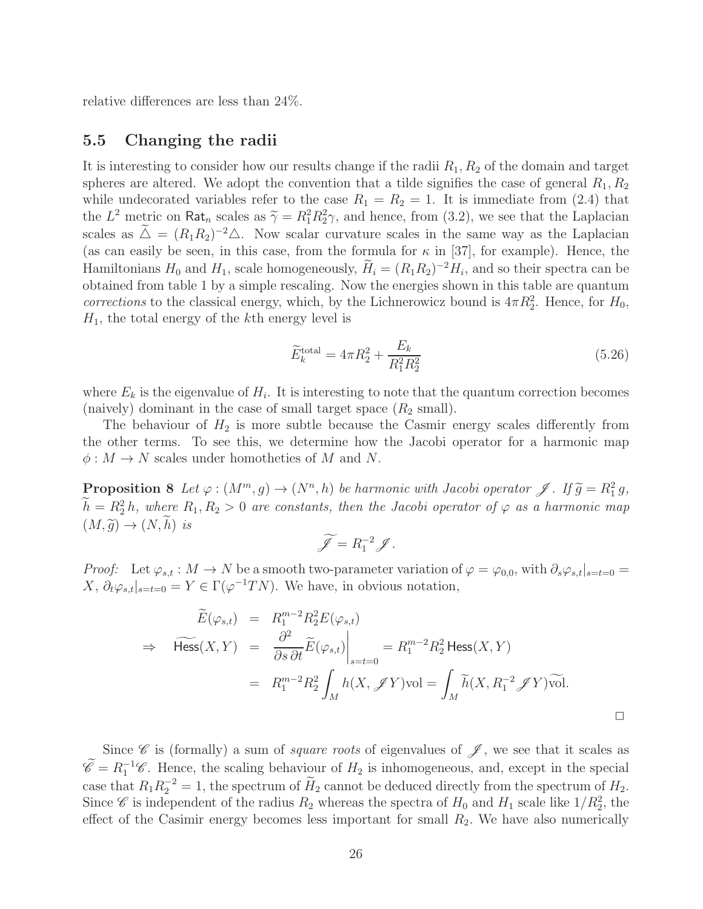relative differences are less than 24%.

#### 5.5 Changing the radii

It is interesting to consider how our results change if the radii  $R_1, R_2$  of the domain and target spheres are altered. We adopt the convention that a tilde signifies the case of general  $R_1, R_2$ while undecorated variables refer to the case  $R_1 = R_2 = 1$ . It is immediate from (2.4) that the  $L^2$  metric on Rat<sub>n</sub> scales as  $\tilde{\gamma} = R_1^2 R_2^2 \gamma$ , and hence, from (3.2), we see that the Laplacian scales as  $\Delta = (R_1R_2)^{-2}\Delta$ . Now scalar curvature scales in the same way as the Laplacian (as can easily be seen, in this case, from the formula for  $\kappa$  in [37], for example). Hence, the Hamiltonians  $H_0$  and  $H_1$ , scale homogeneously,  $H_i = (R_1 R_2)^{-2} H_i$ , and so their spectra can be obtained from table 1 by a simple rescaling. Now the energies shown in this table are quantum *corrections* to the classical energy, which, by the Lichnerowicz bound is  $4\pi R_2^2$ . Hence, for  $H_0$ ,  $H_1$ , the total energy of the kth energy level is

$$
\widetilde{E}_{k}^{\text{total}} = 4\pi R_{2}^{2} + \frac{E_{k}}{R_{1}^{2}R_{2}^{2}} \tag{5.26}
$$

where  $E_k$  is the eigenvalue of  $H_i$ . It is interesting to note that the quantum correction becomes (naively) dominant in the case of small target space  $(R_2 \text{ small})$ .

The behaviour of  $H_2$  is more subtle because the Casmir energy scales differently from the other terms. To see this, we determine how the Jacobi operator for a harmonic map  $\phi: M \to N$  scales under homotheties of M and N.

**Proposition 8** Let  $\varphi : (M^m, g) \to (N^n, h)$  be harmonic with Jacobi operator  $\mathscr{J}$ . If  $\widetilde{g} = R_1^2 g$ ,  $\hat{h} = R_2^2 h$ , where  $R_1, R_2 > 0$  are constants, then the Jacobi operator of  $\varphi$  as a harmonic map  $(M, \tilde{g}) \rightarrow (N, h)$  *is* 

$$
\widetilde{\mathscr{J}} = R_1^{-2} \mathscr{J}.
$$

*Proof:* Let  $\varphi_{s,t} : M \to N$  be a smooth two-parameter variation of  $\varphi = \varphi_{0,0}$ , with  $\partial_s \varphi_{s,t}|_{s=t=0}$ X,  $\partial_t \varphi_{s,t} |_{s=t=0} = Y \in \Gamma(\varphi^{-1}TN)$ . We have, in obvious notation,

$$
\widetilde{E}(\varphi_{s,t}) = R_1^{m-2} R_2^2 E(\varphi_{s,t})
$$
\n
$$
\Rightarrow \widetilde{\text{Hess}}(X,Y) = \frac{\partial^2}{\partial s \partial t} \widetilde{E}(\varphi_{s,t}) \Big|_{s=t=0} = R_1^{m-2} R_2^2 \text{Hess}(X,Y)
$$
\n
$$
= R_1^{m-2} R_2^2 \int_M h(X, \mathscr{J}Y) \text{vol} = \int_M \widetilde{h}(X, R_1^{-2} \mathscr{J}Y) \text{vol}.
$$

Since  $\mathscr C$  is (formally) a sum of *square roots* of eigenvalues of  $\mathscr J$ , we see that it scales as  $\widetilde{\mathscr{C}} = R_1^{-1}\mathscr{C}$ . Hence, the scaling behaviour of  $H_2$  is inhomogeneous, and, except in the special case that  $R_1 R_2^{-2} = 1$ , the spectrum of  $H_2$  cannot be deduced directly from the spectrum of  $H_2$ . Since  $\mathscr C$  is independent of the radius  $R_2$  whereas the spectra of  $H_0$  and  $H_1$  scale like  $1/R_2^2$ , the effect of the Casimir energy becomes less important for small  $R_2$ . We have also numerically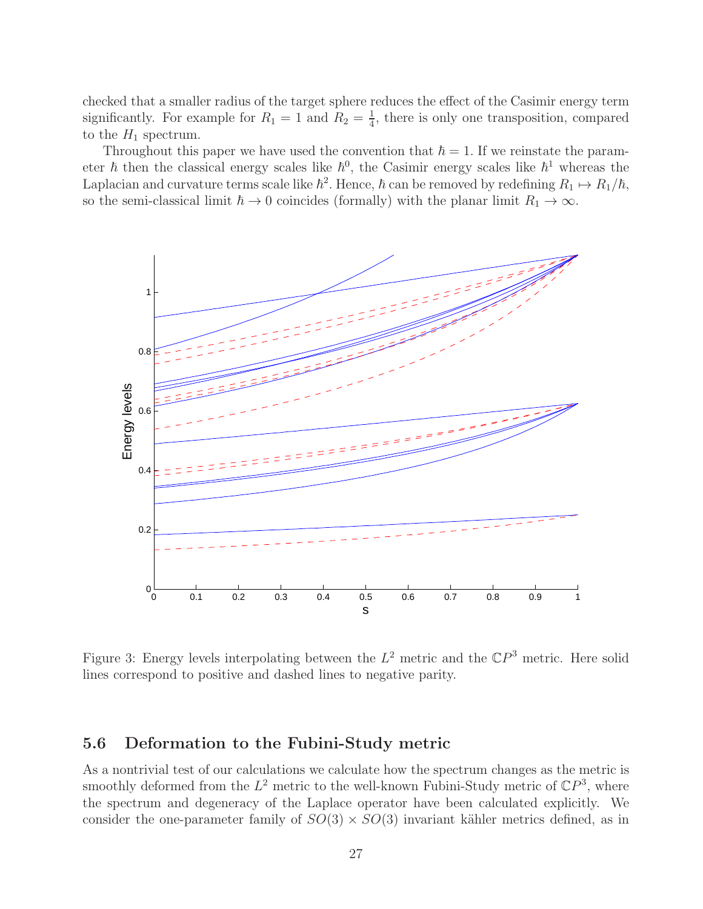checked that a smaller radius of the target sphere reduces the effect of the Casimir energy term significantly. For example for  $R_1 = 1$  and  $R_2 = \frac{1}{4}$  $\frac{1}{4}$ , there is only one transposition, compared to the  $H_1$  spectrum.

Throughout this paper we have used the convention that  $\hbar = 1$ . If we reinstate the parameter  $\hbar$  then the classical energy scales like  $\hbar^0$ , the Casimir energy scales like  $\hbar^1$  whereas the Laplacian and curvature terms scale like  $\hbar^2$ . Hence,  $\hbar$  can be removed by redefining  $R_1 \mapsto R_1/\hbar$ , so the semi-classical limit  $\hbar \to 0$  coincides (formally) with the planar limit  $R_1 \to \infty$ .



Figure 3: Energy levels interpolating between the  $L^2$  metric and the  $\mathbb{C}P^3$  metric. Here solid lines correspond to positive and dashed lines to negative parity.

#### 5.6 Deformation to the Fubini-Study metric

As a nontrivial test of our calculations we calculate how the spectrum changes as the metric is smoothly deformed from the  $L^2$  metric to the well-known Fubini-Study metric of  $\mathbb{C}P^3$ , where the spectrum and degeneracy of the Laplace operator have been calculated explicitly. We consider the one-parameter family of  $SO(3) \times SO(3)$  invariant kähler metrics defined, as in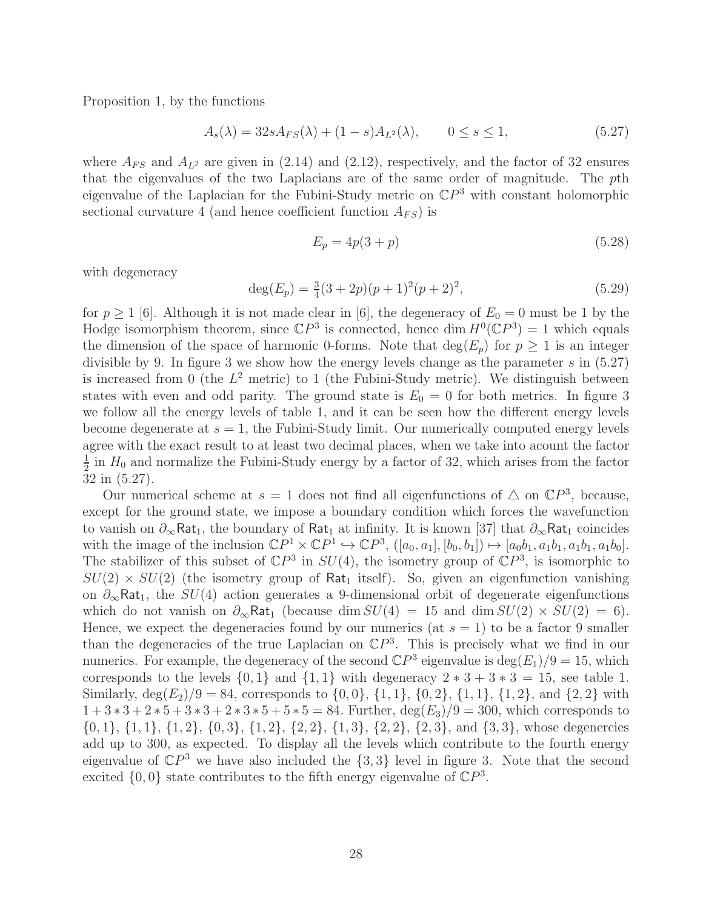Proposition 1, by the functions

$$
A_s(\lambda) = 32s A_{FS}(\lambda) + (1 - s)A_{L^2}(\lambda), \qquad 0 \le s \le 1,
$$
\n(5.27)

where  $A_{FS}$  and  $A_{L^2}$  are given in (2.14) and (2.12), respectively, and the factor of 32 ensures that the eigenvalues of the two Laplacians are of the same order of magnitude. The pth eigenvalue of the Laplacian for the Fubini-Study metric on  $\mathbb{C}P^3$  with constant holomorphic sectional curvature 4 (and hence coefficient function  $A_{FS}$ ) is

$$
E_p = 4p(3+p)
$$
 (5.28)

with degeneracy

$$
\deg(E_p) = \frac{3}{4}(3+2p)(p+1)^2(p+2)^2,
$$
\n(5.29)

for  $p \ge 1$  [6]. Although it is not made clear in [6], the degeneracy of  $E_0 = 0$  must be 1 by the Hodge isomorphism theorem, since  $\mathbb{C}P^3$  is connected, hence dim  $H^0(\mathbb{C}P^3) = 1$  which equals the dimension of the space of harmonic 0-forms. Note that  $deg(E_p)$  for  $p \geq 1$  is an integer divisible by 9. In figure 3 we show how the energy levels change as the parameter  $s$  in  $(5.27)$ is increased from 0 (the  $L^2$  metric) to 1 (the Fubini-Study metric). We distinguish between states with even and odd parity. The ground state is  $E_0 = 0$  for both metrics. In figure 3 we follow all the energy levels of table 1, and it can be seen how the different energy levels become degenerate at  $s = 1$ , the Fubini-Study limit. Our numerically computed energy levels agree with the exact result to at least two decimal places, when we take into acount the factor 1  $\frac{1}{2}$  in  $H_0$  and normalize the Fubini-Study energy by a factor of 32, which arises from the factor 32 in (5.27).

Our numerical scheme at  $s = 1$  does not find all eigenfunctions of  $\triangle$  on  $\mathbb{C}P^3$ , because, except for the ground state, we impose a boundary condition which forces the wavefunction to vanish on  $\partial_{\infty}$ Rat<sub>1</sub>, the boundary of Rat<sub>1</sub> at infinity. It is known [37] that  $\partial_{\infty}$ Rat<sub>1</sub> coincides with the image of the inclusion  $\mathbb{C}P^1 \times \mathbb{C}P^1 \hookrightarrow \mathbb{C}P^3$ ,  $([a_0, a_1], [b_0, b_1]) \mapsto [a_0b_1, a_1b_1, a_1b_1, a_1b_0]$ . The stabilizer of this subset of  $\mathbb{C}P^3$  in  $SU(4)$ , the isometry group of  $\mathbb{C}P^3$ , is isomorphic to  $SU(2) \times SU(2)$  (the isometry group of Rat<sub>1</sub> itself). So, given an eigenfunction vanishing on  $\partial_{\infty}$ Rat<sub>1</sub>, the SU(4) action generates a 9-dimensional orbit of degenerate eigenfunctions which do not vanish on  $\partial_{\infty}$ Rat<sub>1</sub> (because dim  $SU(4) = 15$  and dim  $SU(2) \times SU(2) = 6$ ). Hence, we expect the degeneracies found by our numerics (at  $s = 1$ ) to be a factor 9 smaller than the degeneracies of the true Laplacian on  $\mathbb{C}P^3$ . This is precisely what we find in our numerics. For example, the degeneracy of the second  $\mathbb{C}P^3$  eigenvalue is  $\deg(E_1)/9 = 15$ , which corresponds to the levels  $\{0, 1\}$  and  $\{1, 1\}$  with degeneracy  $2 * 3 + 3 * 3 = 15$ , see table 1. Similarly,  $\deg(E_2)/9 = 84$ , corresponds to  $\{0,0\}$ ,  $\{1,1\}$ ,  $\{0,2\}$ ,  $\{1,1\}$ ,  $\{1,2\}$ , and  $\{2,2\}$  with  $1+3*3+2*5+3*3+2*3*5+5*5=84$ . Further,  $\deg(E_3)/9=300$ , which corresponds to  $\{0, 1\}, \{1, 1\}, \{1, 2\}, \{0, 3\}, \{1, 2\}, \{2, 2\}, \{1, 3\}, \{2, 2\}, \{2, 3\}, \text{and } \{3, 3\}, \text{whose degenercies}$ add up to 300, as expected. To display all the levels which contribute to the fourth energy eigenvalue of  $\mathbb{C}P^3$  we have also included the  $\{3,3\}$  level in figure 3. Note that the second excited  $\{0,0\}$  state contributes to the fifth energy eigenvalue of  $\mathbb{C}P^3$ .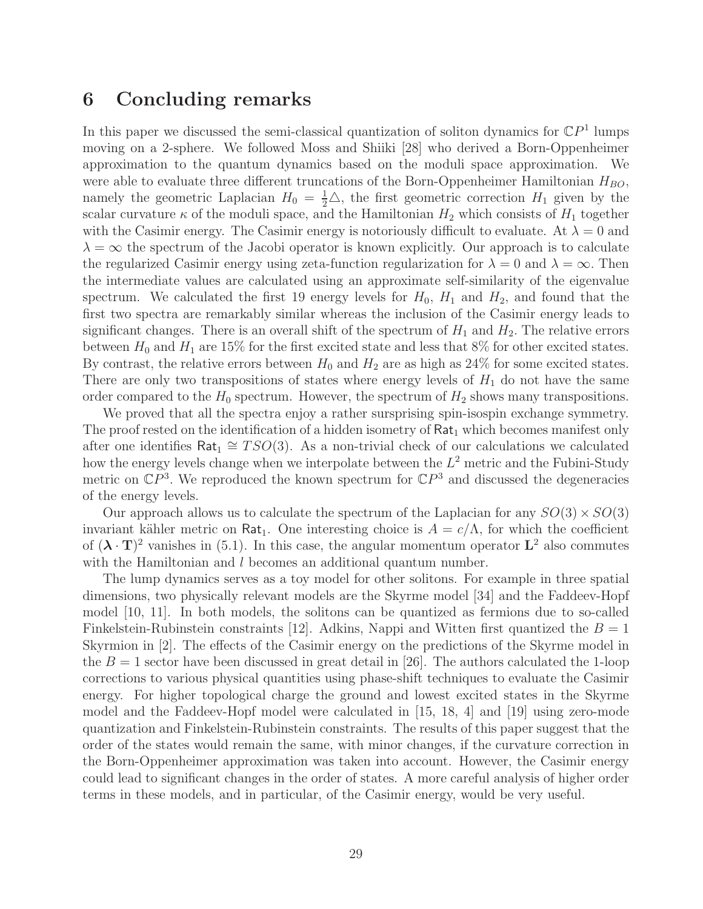## 6 Concluding remarks

In this paper we discussed the semi-classical quantization of soliton dynamics for  $\mathbb{C}P<sup>1</sup>$  lumps moving on a 2-sphere. We followed Moss and Shiiki [28] who derived a Born-Oppenheimer approximation to the quantum dynamics based on the moduli space approximation. We were able to evaluate three different truncations of the Born-Oppenheimer Hamiltonian  $H_{BO}$ , namely the geometric Laplacian  $H_0 = \frac{1}{2}\triangle$ , the first geometric correction  $H_1$  given by the scalar curvature  $\kappa$  of the moduli space, and the Hamiltonian  $H_2$  which consists of  $H_1$  together with the Casimir energy. The Casimir energy is notoriously difficult to evaluate. At  $\lambda = 0$  and  $\lambda = \infty$  the spectrum of the Jacobi operator is known explicitly. Our approach is to calculate the regularized Casimir energy using zeta-function regularization for  $\lambda = 0$  and  $\lambda = \infty$ . Then the intermediate values are calculated using an approximate self-similarity of the eigenvalue spectrum. We calculated the first 19 energy levels for  $H_0$ ,  $H_1$  and  $H_2$ , and found that the first two spectra are remarkably similar whereas the inclusion of the Casimir energy leads to significant changes. There is an overall shift of the spectrum of  $H_1$  and  $H_2$ . The relative errors between  $H_0$  and  $H_1$  are 15% for the first excited state and less that 8% for other excited states. By contrast, the relative errors between  $H_0$  and  $H_2$  are as high as 24% for some excited states. There are only two transpositions of states where energy levels of  $H_1$  do not have the same order compared to the  $H_0$  spectrum. However, the spectrum of  $H_2$  shows many transpositions.

We proved that all the spectra enjoy a rather sursprising spin-isospin exchange symmetry. The proof rested on the identification of a hidden isometry of  $Rat_1$  which becomes manifest only after one identifies  $\text{Rat}_1 \cong TSO(3)$ . As a non-trivial check of our calculations we calculated how the energy levels change when we interpolate between the  $L^2$  metric and the Fubini-Study metric on  $\mathbb{C}P^3$ . We reproduced the known spectrum for  $\mathbb{C}P^3$  and discussed the degeneracies of the energy levels.

Our approach allows us to calculate the spectrum of the Laplacian for any  $SO(3) \times SO(3)$ invariant kähler metric on Rat<sub>1</sub>. One interesting choice is  $A = c/\Lambda$ , for which the coefficient of  $({\bf \lambda} \cdot {\bf T})^2$  vanishes in (5.1). In this case, the angular momentum operator  ${\bf L}^2$  also commutes with the Hamiltonian and l becomes an additional quantum number.

The lump dynamics serves as a toy model for other solitons. For example in three spatial dimensions, two physically relevant models are the Skyrme model [34] and the Faddeev-Hopf model [10, 11]. In both models, the solitons can be quantized as fermions due to so-called Finkelstein-Rubinstein constraints [12]. Adkins, Nappi and Witten first quantized the  $B = 1$ Skyrmion in [2]. The effects of the Casimir energy on the predictions of the Skyrme model in the  $B = 1$  sector have been discussed in great detail in [26]. The authors calculated the 1-loop corrections to various physical quantities using phase-shift techniques to evaluate the Casimir energy. For higher topological charge the ground and lowest excited states in the Skyrme model and the Faddeev-Hopf model were calculated in [15, 18, 4] and [19] using zero-mode quantization and Finkelstein-Rubinstein constraints. The results of this paper suggest that the order of the states would remain the same, with minor changes, if the curvature correction in the Born-Oppenheimer approximation was taken into account. However, the Casimir energy could lead to significant changes in the order of states. A more careful analysis of higher order terms in these models, and in particular, of the Casimir energy, would be very useful.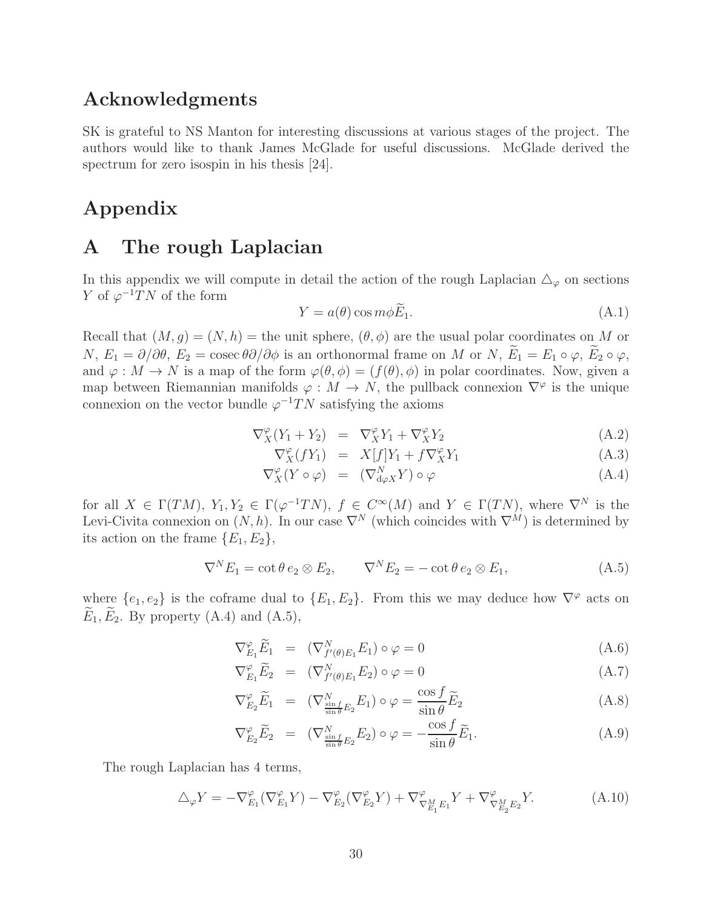## Acknowledgments

SK is grateful to NS Manton for interesting discussions at various stages of the project. The authors would like to thank James McGlade for useful discussions. McGlade derived the spectrum for zero isospin in his thesis [24].

## Appendix

## A The rough Laplacian

In this appendix we will compute in detail the action of the rough Laplacian  $\Delta_{\varphi}$  on sections Y of  $\varphi^{-1}TN$  of the form

$$
Y = a(\theta) \cos m\phi \widetilde{E}_1. \tag{A.1}
$$

Recall that  $(M, g) = (N, h)$  = the unit sphere,  $(\theta, \phi)$  are the usual polar coordinates on M or N,  $E_1 = \partial/\partial\theta$ ,  $E_2 = \csc \theta \partial/\partial\phi$  is an orthonormal frame on M or N,  $\widetilde{E}_1 = E_1 \circ \varphi$ ,  $\widetilde{E}_2 \circ \varphi$ , and  $\varphi : M \to N$  is a map of the form  $\varphi(\theta, \phi) = (f(\theta), \phi)$  in polar coordinates. Now, given a map between Riemannian manifolds  $\varphi: M \to N$ , the pullback connexion  $\nabla^{\varphi}$  is the unique connexion on the vector bundle  $\varphi^{-1}TN$  satisfying the axioms

$$
\nabla_X^{\varphi}(Y_1 + Y_2) = \nabla_X^{\varphi} Y_1 + \nabla_X^{\varphi} Y_2 \tag{A.2}
$$

$$
\nabla_X^{\varphi}(fY_1) = X[f]Y_1 + f \nabla_X^{\varphi} Y_1 \tag{A.3}
$$

$$
\nabla_X^{\varphi}(Y \circ \varphi) = (\nabla_{\mathbf{d}\varphi X}^N Y) \circ \varphi \tag{A.4}
$$

for all  $X \in \Gamma(TM)$ ,  $Y_1, Y_2 \in \Gamma(\varphi^{-1}TN)$ ,  $f \in C^{\infty}(M)$  and  $Y \in \Gamma(TM)$ , where  $\nabla^N$  is the Levi-Civita connexion on  $(N, h)$ . In our case  $\nabla^N$  (which coincides with  $\nabla^M$ ) is determined by its action on the frame  ${E_1, E_2}$ ,

$$
\nabla^N E_1 = \cot \theta \, e_2 \otimes E_2, \qquad \nabla^N E_2 = -\cot \theta \, e_2 \otimes E_1,\tag{A.5}
$$

where  $\{e_1, e_2\}$  is the coframe dual to  $\{E_1, E_2\}$ . From this we may deduce how  $\nabla^\varphi$  acts on  $\widetilde{E}_1, \widetilde{E}_2$ . By property (A.4) and (A.5),

$$
\nabla_{E_1}^{\varphi} \widetilde{E}_1 = (\nabla_{f'(\theta)E_1}^N E_1) \circ \varphi = 0 \tag{A.6}
$$

$$
\nabla_{E_1}^{\varphi} \widetilde{E}_2 = (\nabla_{f'(\theta)E_1}^N E_2) \circ \varphi = 0 \tag{A.7}
$$

$$
\nabla_{E_2}^{\varphi} \widetilde{E}_1 = (\nabla_{\frac{\sin f}{\sin \theta} E_2}^N E_1) \circ \varphi = \frac{\cos f}{\sin \theta} \widetilde{E}_2 \tag{A.8}
$$

$$
\nabla_{E_2}^{\varphi} \widetilde{E}_2 = (\nabla_{\frac{\sin f}{\sin \theta} E_2}^N E_2) \circ \varphi = -\frac{\cos f}{\sin \theta} \widetilde{E}_1.
$$
\n(A.9)

The rough Laplacian has 4 terms,

$$
\Delta_{\varphi} Y = -\nabla_{E_1}^{\varphi} (\nabla_{E_1}^{\varphi} Y) - \nabla_{E_2}^{\varphi} (\nabla_{E_2}^{\varphi} Y) + \nabla_{\nabla_{E_1}^M E_1}^{\varphi} Y + \nabla_{\nabla_{E_2}^M E_2}^{\varphi} Y. \tag{A.10}
$$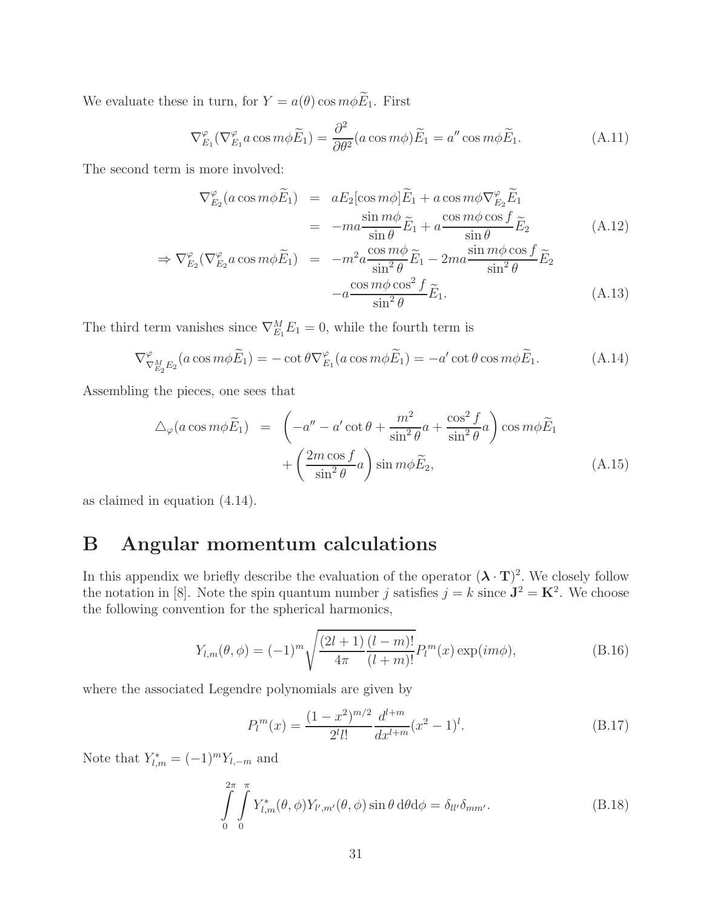We evaluate these in turn, for  $Y = a(\theta) \cos m\phi \widetilde{E}_1$ . First

$$
\nabla_{E_1}^{\varphi} (\nabla_{E_1}^{\varphi} a \cos m\phi \widetilde{E}_1) = \frac{\partial^2}{\partial \theta^2} (a \cos m\phi) \widetilde{E}_1 = a'' \cos m\phi \widetilde{E}_1.
$$
 (A.11)

The second term is more involved:

$$
\nabla_{E_2}^{\varphi}(a\cos m\phi\widetilde{E}_1) = aE_2[\cos m\phi]\widetilde{E}_1 + a\cos m\phi\nabla_{E_2}^{\varphi}\widetilde{E}_1
$$
  
= 
$$
-ma\frac{\sin m\phi}{\sin\theta}\widetilde{E}_1 + a\frac{\cos m\phi\cos f}{\sin\theta}\widetilde{E}_2
$$
(A.12)

$$
\Rightarrow \nabla_{E_2}^{\varphi} (\nabla_{E_2}^{\varphi} a \cos m\phi \widetilde{E}_1) = -m^2 a \frac{\cos m\phi}{\sin^2 \theta} \widetilde{E}_1 - 2ma \frac{\sin m\phi \cos f}{\sin^2 \theta} \widetilde{E}_2
$$

$$
-a \frac{\cos m\phi \cos^2 f}{\sin^2 \theta} \widetilde{E}_1.
$$
(A.13)

The third term vanishes since  $\nabla_{E_1}^M E_1 = 0$ , while the fourth term is

$$
\nabla^{\varphi}_{\nabla^M_{E_2} E_2}(a\cos m\phi \widetilde{E}_1) = -\cot\theta \nabla^{\varphi}_{E_1}(a\cos m\phi \widetilde{E}_1) = -a'\cot\theta\cos m\phi \widetilde{E}_1.
$$
 (A.14)

Assembling the pieces, one sees that

$$
\Delta_{\varphi}(a\cos m\phi\widetilde{E}_1) = \left(-a'' - a'\cot\theta + \frac{m^2}{\sin^2\theta}a + \frac{\cos^2 f}{\sin^2\theta}a\right)\cos m\phi\widetilde{E}_1 + \left(\frac{2m\cos f}{\sin^2\theta}a\right)\sin m\phi\widetilde{E}_2, \tag{A.15}
$$

as claimed in equation (4.14).

## B Angular momentum calculations

In this appendix we briefly describe the evaluation of the operator  $({\bf \lambda} \cdot {\bf T})^2$ . We closely follow the notation in [8]. Note the spin quantum number j satisfies  $j = k$  since  $\mathbf{J}^2 = \mathbf{K}^2$ . We choose the following convention for the spherical harmonics,

$$
Y_{l,m}(\theta,\phi) = (-1)^m \sqrt{\frac{(2l+1)}{4\pi} \frac{(l-m)!}{(l+m)!}} P_l^m(x) \exp(im\phi), \tag{B.16}
$$

where the associated Legendre polynomials are given by

$$
P_l^m(x) = \frac{(1-x^2)^{m/2}}{2^l l!} \frac{d^{l+m}}{dx^{l+m}} (x^2 - 1)^l.
$$
 (B.17)

Note that  $Y_{l,m}^* = (-1)^m Y_{l,-m}$  and

$$
\int_{0}^{2\pi} \int_{0}^{\pi} Y_{l,m}^{*}(\theta,\phi) Y_{l',m'}(\theta,\phi) \sin\theta \,d\theta d\phi = \delta_{ll'} \delta_{mm'}.
$$
\n(B.18)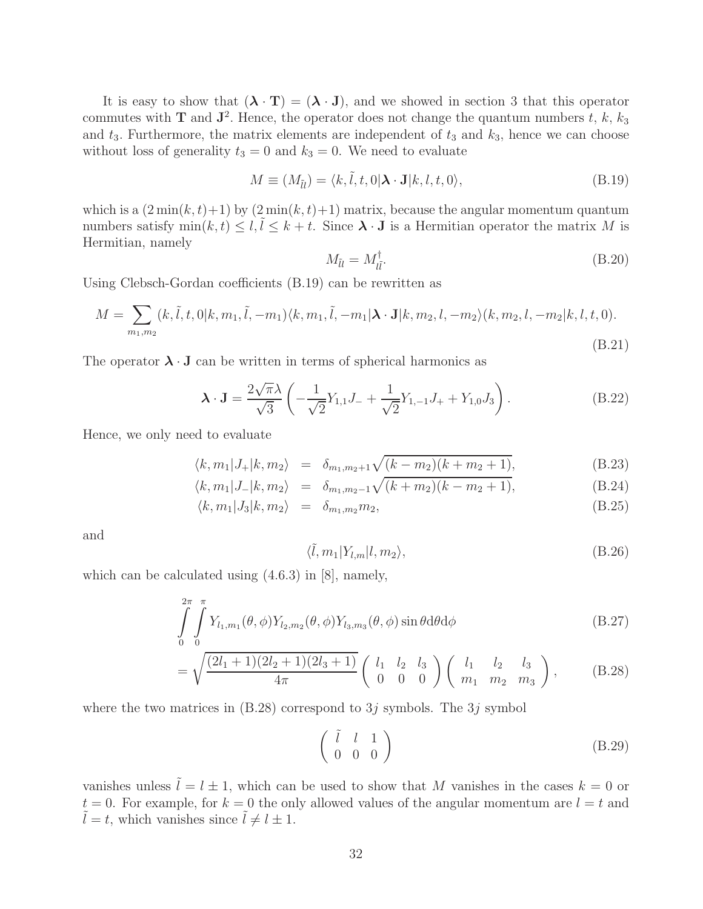It is easy to show that  $({\bf \lambda} \cdot {\bf T}) = ({\bf \lambda} \cdot {\bf J})$ , and we showed in section 3 that this operator commutes with **T** and  $\mathbf{J}^2$ . Hence, the operator does not change the quantum numbers t, k,  $k_3$ and  $t_3$ . Furthermore, the matrix elements are independent of  $t_3$  and  $k_3$ , hence we can choose without loss of generality  $t_3 = 0$  and  $k_3 = 0$ . We need to evaluate

$$
M \equiv (M_{\tilde{u}}) = \langle k, \tilde{l}, t, 0 | \mathbf{\lambda} \cdot \mathbf{J} | k, l, t, 0 \rangle,
$$
 (B.19)

which is a  $(2 \min(k, t) + 1)$  by  $(2 \min(k, t) + 1)$  matrix, because the angular momentum quantum numbers satisfy  $\min(k, t) \leq l, l \leq k + t$ . Since  $\lambda \cdot J$  is a Hermitian operator the matrix M is Hermitian, namely

$$
M_{\tilde{u}} = M_{\tilde{u}}^{\dagger}.
$$
 (B.20)

Using Clebsch-Gordan coefficients (B.19) can be rewritten as

$$
M = \sum_{m_1, m_2} (k, \tilde{l}, t, 0 | k, m_1, \tilde{l}, -m_1) \langle k, m_1, \tilde{l}, -m_1 | \mathbf{\lambda} \cdot \mathbf{J} | k, m_2, l, -m_2 \rangle (k, m_2, l, -m_2 | k, l, t, 0).
$$
\n(B.21)

The operator  $\lambda \cdot J$  can be written in terms of spherical harmonics as

$$
\lambda \cdot \mathbf{J} = \frac{2\sqrt{\pi}\lambda}{\sqrt{3}} \left( -\frac{1}{\sqrt{2}} Y_{1,1} J_{-} + \frac{1}{\sqrt{2}} Y_{1,-1} J_{+} + Y_{1,0} J_{3} \right). \tag{B.22}
$$

Hence, we only need to evaluate

$$
\langle k, m_1 | J_+ | k, m_2 \rangle = \delta_{m_1, m_2 + 1} \sqrt{(k - m_2)(k + m_2 + 1)},
$$
\n(B.23)

$$
\langle k, m_1 | J_- | k, m_2 \rangle = \delta_{m_1, m_2 - 1} \sqrt{(k + m_2)(k - m_2 + 1)},
$$
\n(B.24)

$$
\langle k, m_1 | J_3 | k, m_2 \rangle = \delta_{m_1, m_2} m_2, \tag{B.25}
$$

and

$$
\langle \tilde{l}, m_1 | Y_{l,m} | l, m_2 \rangle, \tag{B.26}
$$

which can be calculated using (4.6.3) in [8], namely,

$$
\int_{0}^{2\pi} \int_{0}^{\pi} Y_{l_1,m_1}(\theta,\phi) Y_{l_2,m_2}(\theta,\phi) Y_{l_3,m_3}(\theta,\phi) \sin\theta \, d\theta \, d\phi \tag{B.27}
$$

$$
= \sqrt{\frac{(2l_1+1)(2l_2+1)(2l_3+1)}{4\pi}} \left( \begin{array}{ccc} l_1 & l_2 & l_3 \\ 0 & 0 & 0 \end{array} \right) \left( \begin{array}{ccc} l_1 & l_2 & l_3 \\ m_1 & m_2 & m_3 \end{array} \right), \tag{B.28}
$$

where the two matrices in  $(B.28)$  correspond to 3j symbols. The 3j symbol

$$
\left(\begin{array}{ccc} \tilde{l} & l & 1 \\ 0 & 0 & 0 \end{array}\right) \tag{B.29}
$$

vanishes unless  $\tilde{l} = l \pm 1$ , which can be used to show that M vanishes in the cases  $k = 0$  or  $t = 0$ . For example, for  $k = 0$  the only allowed values of the angular momentum are  $l = t$  and  $l = t$ , which vanishes since  $l \neq l \pm 1$ .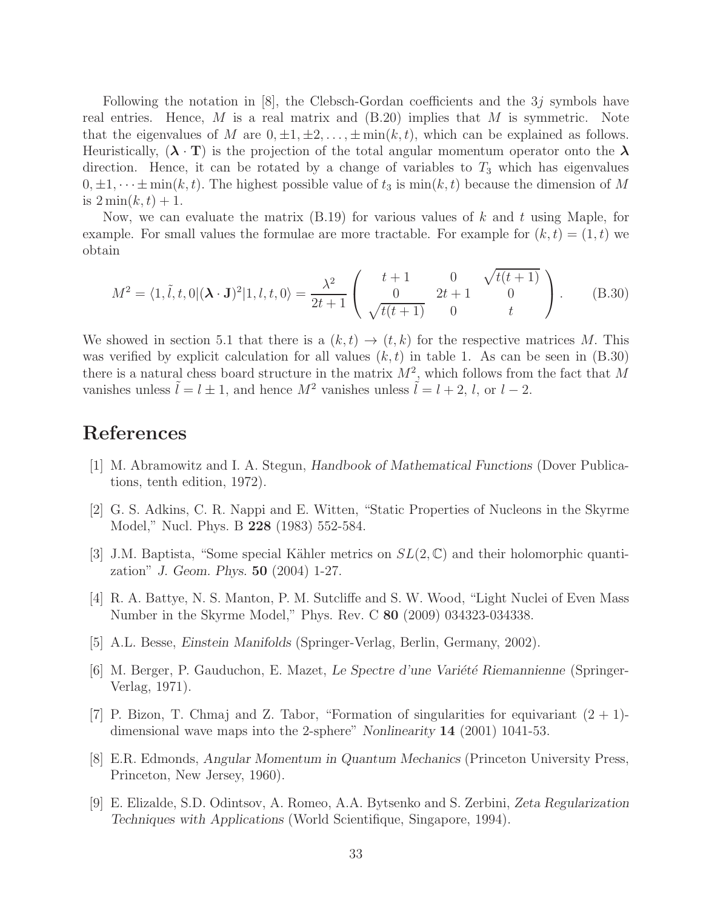Following the notation in [8], the Clebsch-Gordan coefficients and the  $3j$  symbols have real entries. Hence, M is a real matrix and  $(B.20)$  implies that M is symmetric. Note that the eigenvalues of M are  $0, \pm 1, \pm 2, \ldots, \pm \min(k, t)$ , which can be explained as follows. Heuristically,  $({\bf \lambda} \cdot {\bf T})$  is the projection of the total angular momentum operator onto the  ${\bf \lambda}$ direction. Hence, it can be rotated by a change of variables to  $T_3$  which has eigenvalues  $0, \pm 1, \dots \pm \min(k, t)$ . The highest possible value of  $t_3$  is  $\min(k, t)$  because the dimension of M is  $2\min(k,t)+1$ .

Now, we can evaluate the matrix  $(B.19)$  for various values of k and t using Maple, for example. For small values the formulae are more tractable. For example for  $(k, t) = (1, t)$  we obtain

$$
M^{2} = \langle 1, \tilde{t}, t, 0 | (\mathbf{\lambda} \cdot \mathbf{J})^{2} | 1, t, t, 0 \rangle = \frac{\lambda^{2}}{2t + 1} \begin{pmatrix} t + 1 & 0 & \sqrt{t(t + 1)} \\ 0 & 2t + 1 & 0 \\ \sqrt{t(t + 1)} & 0 & t \end{pmatrix}.
$$
 (B.30)

We showed in section 5.1 that there is a  $(k, t) \rightarrow (t, k)$  for the respective matrices M. This was verified by explicit calculation for all values  $(k, t)$  in table 1. As can be seen in  $(B.30)$ there is a natural chess board structure in the matrix  $M^2$ , which follows from the fact that M vanishes unless  $\tilde{l} = l \pm 1$ , and hence  $M^2$  vanishes unless  $\tilde{l} = l + 2$ , l, or  $l - 2$ .

## References

- [1] M. Abramowitz and I. A. Stegun, Handbook of Mathematical Functions (Dover Publications, tenth edition, 1972).
- [2] G. S. Adkins, C. R. Nappi and E. Witten, "Static Properties of Nucleons in the Skyrme Model," Nucl. Phys. B 228 (1983) 552-584.
- [3] J.M. Baptista, "Some special Kähler metrics on  $SL(2,\mathbb{C})$  and their holomorphic quantization" J. Geom. Phys. 50 (2004) 1-27.
- [4] R. A. Battye, N. S. Manton, P. M. Sutcliffe and S. W. Wood, "Light Nuclei of Even Mass Number in the Skyrme Model," Phys. Rev. C 80 (2009) 034323-034338.
- [5] A.L. Besse, Einstein Manifolds (Springer-Verlag, Berlin, Germany, 2002).
- [6] M. Berger, P. Gauduchon, E. Mazet, Le Spectre d'une Variété Riemannienne (Springer-Verlag, 1971).
- [7] P. Bizon, T. Chmaj and Z. Tabor, "Formation of singularities for equivariant  $(2 + 1)$ dimensional wave maps into the 2-sphere" Nonlinearity 14 (2001) 1041-53.
- [8] E.R. Edmonds, Angular Momentum in Quantum Mechanics (Princeton University Press, Princeton, New Jersey, 1960).
- [9] E. Elizalde, S.D. Odintsov, A. Romeo, A.A. Bytsenko and S. Zerbini, Zeta Regularization Techniques with Applications (World Scientifique, Singapore, 1994).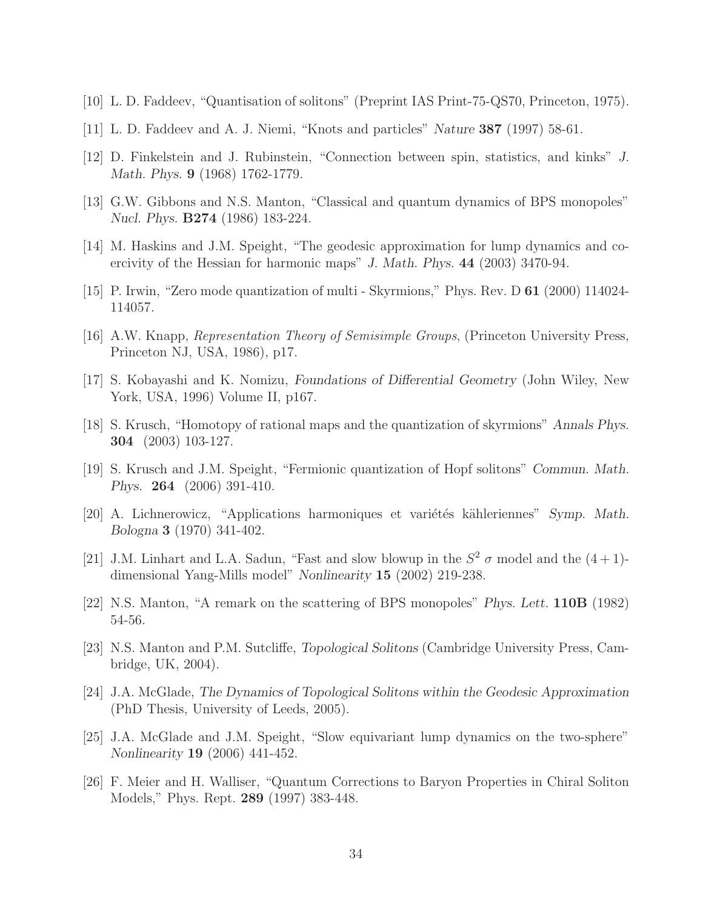- [10] L. D. Faddeev, "Quantisation of solitons" (Preprint IAS Print-75-QS70, Princeton, 1975).
- [11] L. D. Faddeev and A. J. Niemi, "Knots and particles" Nature 387 (1997) 58-61.
- [12] D. Finkelstein and J. Rubinstein, "Connection between spin, statistics, and kinks" J. Math. Phys. 9 (1968) 1762-1779.
- [13] G.W. Gibbons and N.S. Manton, "Classical and quantum dynamics of BPS monopoles" Nucl. Phys. B274 (1986) 183-224.
- [14] M. Haskins and J.M. Speight, "The geodesic approximation for lump dynamics and coercivity of the Hessian for harmonic maps" J. Math. Phys. 44 (2003) 3470-94.
- [15] P. Irwin, "Zero mode quantization of multi Skyrmions," Phys. Rev. D 61 (2000) 114024- 114057.
- [16] A.W. Knapp, *Representation Theory of Semisimple Groups*, (Princeton University Press, Princeton NJ, USA, 1986), p17.
- [17] S. Kobayashi and K. Nomizu, Foundations of Differential Geometry (John Wiley, New York, USA, 1996) Volume II, p167.
- [18] S. Krusch, "Homotopy of rational maps and the quantization of skyrmions" Annals Phys. 304 (2003) 103-127.
- [19] S. Krusch and J.M. Speight, "Fermionic quantization of Hopf solitons" Commun. Math. Phys. 264 (2006) 391-410.
- [20] A. Lichnerowicz, "Applications harmoniques et variétés kähleriennes" Symp. Math. Bologna 3 (1970) 341-402.
- [21] J.M. Linhart and L.A. Sadun, "Fast and slow blowup in the  $S^2$   $\sigma$  model and the  $(4+1)$ dimensional Yang-Mills model" Nonlinearity 15 (2002) 219-238.
- [22] N.S. Manton, "A remark on the scattering of BPS monopoles" Phys. Lett. 110B (1982) 54-56.
- [23] N.S. Manton and P.M. Sutcliffe, Topological Solitons (Cambridge University Press, Cambridge, UK, 2004).
- [24] J.A. McGlade, The Dynamics of Topological Solitons within the Geodesic Approximation (PhD Thesis, University of Leeds, 2005).
- [25] J.A. McGlade and J.M. Speight, "Slow equivariant lump dynamics on the two-sphere" Nonlinearity 19 (2006) 441-452.
- [26] F. Meier and H. Walliser, "Quantum Corrections to Baryon Properties in Chiral Soliton Models," Phys. Rept. 289 (1997) 383-448.